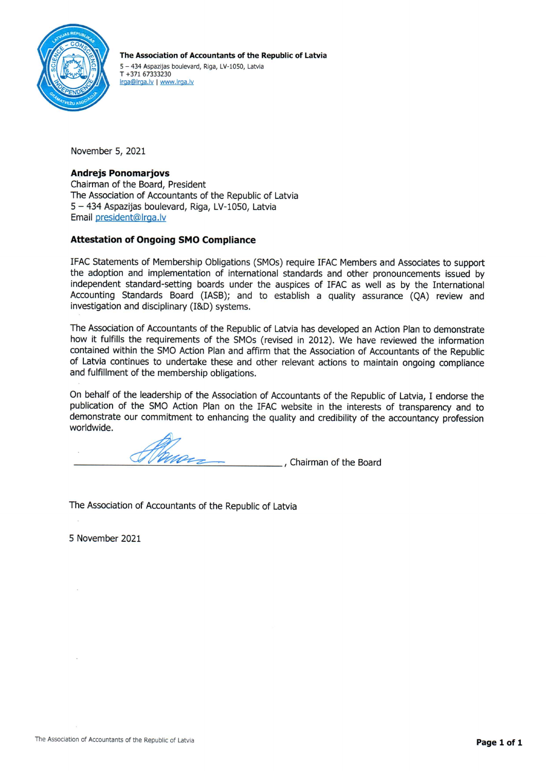

The Association of Accountants of the Republic of Latvia 5 - 434 Aspazijas boulevard, Riga, LV-1050, Latvia  $T + 37167333230$ Irga@Irga.lv | www.Irga.lv

November 5, 2021

# **Andrejs Ponomariovs**

Chairman of the Board, President The Association of Accountants of the Republic of Latvia 5 - 434 Aspazijas boulevard, Riga, LV-1050, Latvia Email president@lrga.lv

# **Attestation of Ongoing SMO Compliance**

IFAC Statements of Membership Obligations (SMOs) require IFAC Members and Associates to support the adoption and implementation of international standards and other pronouncements issued by independent standard-setting boards under the auspices of IFAC as well as by the International Accounting Standards Board (IASB); and to establish a quality assurance (OA) review and investigation and disciplinary (I&D) systems.

The Association of Accountants of the Republic of Latvia has developed an Action Plan to demonstrate how it fulfills the requirements of the SMOs (revised in 2012). We have reviewed the information contained within the SMO Action Plan and affirm that the Association of Accountants of the Republic of Latvia continues to undertake these and other relevant actions to maintain ongoing compliance and fulfillment of the membership obligations.

On behalf of the leadership of the Association of Accountants of the Republic of Latvia, I endorse the publication of the SMO Action Plan on the IFAC website in the interests of transparency and to demonstrate our commitment to enhancing the quality and credibility of the accountancy profession worldwide.

Chairman of the Board

The Association of Accountants of the Republic of Latvia

5 November 2021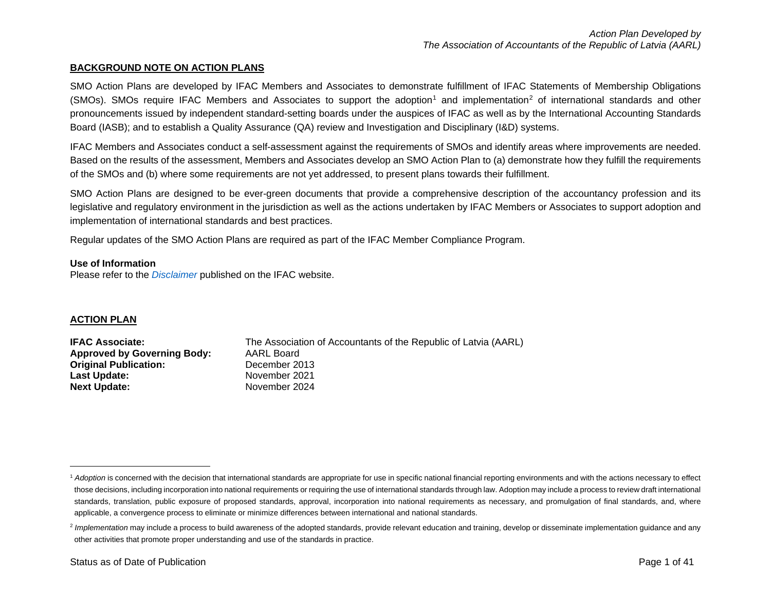### <span id="page-1-1"></span><span id="page-1-0"></span>**BACKGROUND NOTE ON ACTION PLANS**

SMO Action Plans are developed by IFAC Members and Associates to demonstrate fulfillment of IFAC Statements of Membership Obligations (SMOs). SMOs require IFAC Members and Associates to support the adoption<sup>[1](#page-1-0)</sup> and implementation<sup>[2](#page-1-1)</sup> of international standards and other pronouncements issued by independent standard-setting boards under the auspices of IFAC as well as by the International Accounting Standards Board (IASB); and to establish a Quality Assurance (QA) review and Investigation and Disciplinary (I&D) systems.

IFAC Members and Associates conduct a self-assessment against the requirements of SMOs and identify areas where improvements are needed. Based on the results of the assessment, Members and Associates develop an SMO Action Plan to (a) demonstrate how they fulfill the requirements of the SMOs and (b) where some requirements are not yet addressed, to present plans towards their fulfillment.

SMO Action Plans are designed to be ever-green documents that provide a comprehensive description of the accountancy profession and its legislative and regulatory environment in the jurisdiction as well as the actions undertaken by IFAC Members or Associates to support adoption and implementation of international standards and best practices.

Regular updates of the SMO Action Plans are required as part of the IFAC Member Compliance Program.

### **Use of Information**

Please refer to the *[Disclaimer](http://www.ifac.org/about-ifac/membership/members/disclaimer)* published on the IFAC website.

### **ACTION PLAN**

| <b>IFAC Associate:</b>             | The Association of Accountants of the Republic of Latvia (AARL) |
|------------------------------------|-----------------------------------------------------------------|
| <b>Approved by Governing Body:</b> | AARL Board                                                      |
| <b>Original Publication:</b>       | December 2013                                                   |
| Last Update:                       | November 2021                                                   |
| <b>Next Update:</b>                | November 2024                                                   |

<sup>&</sup>lt;sup>1</sup> Adoption is concerned with the decision that international standards are appropriate for use in specific national financial reporting environments and with the actions necessary to effect those decisions, including incorporation into national requirements or requiring the use of international standards through law. Adoption may include a process to review draft international standards, translation, public exposure of proposed standards, approval, incorporation into national requirements as necessary, and promulgation of final standards, and, where applicable, a convergence process to eliminate or minimize differences between international and national standards.

<sup>&</sup>lt;sup>2</sup> Implementation may include a process to build awareness of the adopted standards, provide relevant education and training, develop or disseminate implementation guidance and any other activities that promote proper understanding and use of the standards in practice.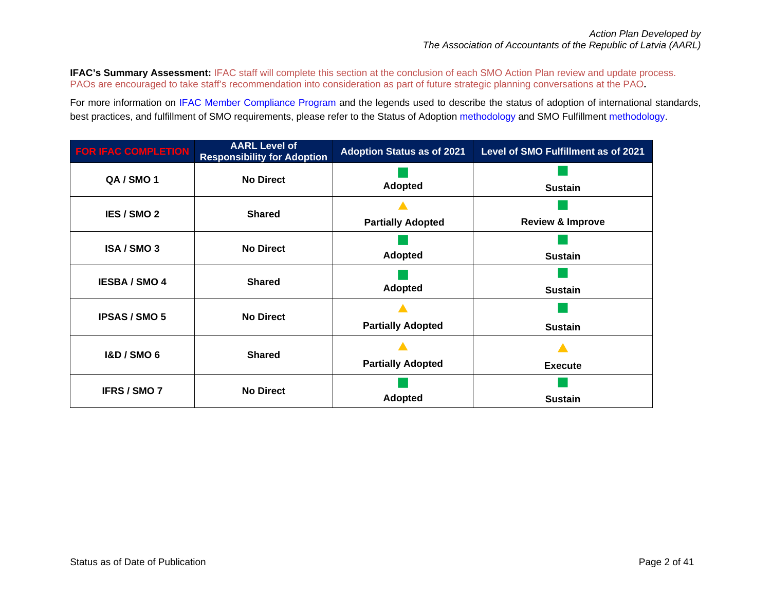**IFAC's Summary Assessment: IFAC staff will complete this section at the conclusion of each SMO Action Plan review and update process.** PAOs are encouraged to take staff's recommendation into consideration as part of future strategic planning conversations at the PAO**.**

For more information on [IFAC Member Compliance Program](https://www.ifac.org/who-we-are/membership) and the legends used to describe the status of adoption of international standards, best practices, and fulfillment of SMO requirements, please refer to the Status of Adoption [methodology](https://www.ifac.org/about-ifac/membership/members/methodology-assessing-adoption) and SMO Fulfillmen[t methodology.](https://www.ifac.org/about-ifac/membership/member-organizations-and-country-profiles/ifac-statements-membership)

| <b>FOR IFAC COMPLETION</b> | <b>AARL Level of</b><br><b>Responsibility for Adoption</b> | <b>Adoption Status as of 2021</b> | Level of SMO Fulfillment as of 2021 |
|----------------------------|------------------------------------------------------------|-----------------------------------|-------------------------------------|
| QA / SMO 1                 | <b>No Direct</b>                                           | <b>Adopted</b>                    | <b>Sustain</b>                      |
| IES / SMO 2                | <b>Shared</b>                                              | <b>Partially Adopted</b>          | <b>Review &amp; Improve</b>         |
| ISA / SMO 3                | <b>No Direct</b>                                           | <b>Adopted</b>                    | <b>Sustain</b>                      |
| <b>IESBA / SMO 4</b>       | <b>Shared</b>                                              | <b>Adopted</b>                    | <b>Sustain</b>                      |
| <b>IPSAS / SMO 5</b>       | <b>No Direct</b>                                           | <b>Partially Adopted</b>          | <b>Sustain</b>                      |
| <b>I&amp;D / SMO 6</b>     | <b>Shared</b>                                              | <b>Partially Adopted</b>          | <b>Execute</b>                      |
| <b>IFRS / SMO 7</b>        | <b>No Direct</b>                                           | <b>Adopted</b>                    | <b>Sustain</b>                      |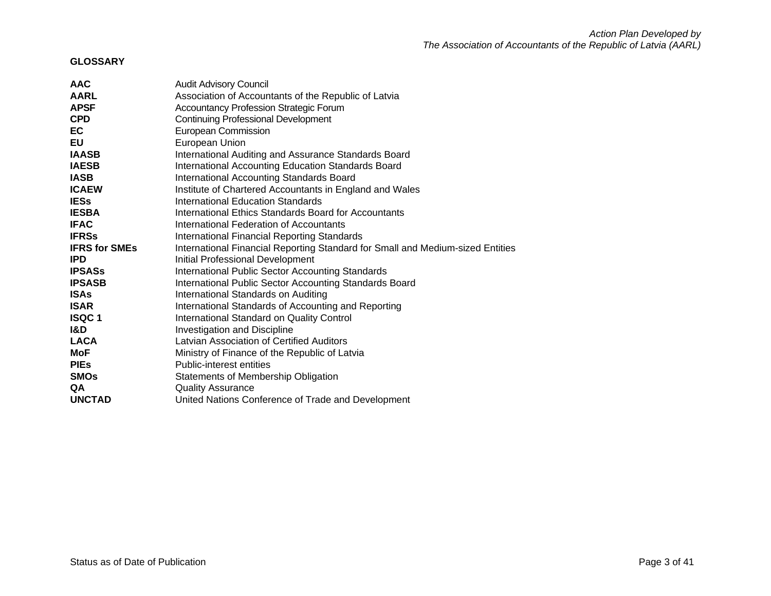### **GLOSSARY**

| <b>AAC</b>           | <b>Audit Advisory Council</b>                                                  |
|----------------------|--------------------------------------------------------------------------------|
| <b>AARL</b>          | Association of Accountants of the Republic of Latvia                           |
| <b>APSF</b>          | <b>Accountancy Profession Strategic Forum</b>                                  |
| <b>CPD</b>           | <b>Continuing Professional Development</b>                                     |
| EC                   | European Commission                                                            |
| EU                   | European Union                                                                 |
| <b>IAASB</b>         | International Auditing and Assurance Standards Board                           |
| <b>IAESB</b>         | International Accounting Education Standards Board                             |
| <b>IASB</b>          | International Accounting Standards Board                                       |
| <b>ICAEW</b>         | Institute of Chartered Accountants in England and Wales                        |
| <b>IESs</b>          | International Education Standards                                              |
| <b>IESBA</b>         | International Ethics Standards Board for Accountants                           |
| <b>IFAC</b>          | International Federation of Accountants                                        |
| <b>IFRSs</b>         | <b>International Financial Reporting Standards</b>                             |
| <b>IFRS for SMEs</b> | International Financial Reporting Standard for Small and Medium-sized Entities |
| <b>IPD</b>           | Initial Professional Development                                               |
| <b>IPSASs</b>        | <b>International Public Sector Accounting Standards</b>                        |
| <b>IPSASB</b>        | International Public Sector Accounting Standards Board                         |
| <b>ISAs</b>          | International Standards on Auditing                                            |
| <b>ISAR</b>          | International Standards of Accounting and Reporting                            |
| <b>ISQC1</b>         | International Standard on Quality Control                                      |
| I&D                  | Investigation and Discipline                                                   |
| <b>LACA</b>          | Latvian Association of Certified Auditors                                      |
| MoF                  | Ministry of Finance of the Republic of Latvia                                  |
| <b>PIES</b>          | Public-interest entities                                                       |
| <b>SMOs</b>          | Statements of Membership Obligation                                            |
| QA                   | <b>Quality Assurance</b>                                                       |
| <b>UNCTAD</b>        | United Nations Conference of Trade and Development                             |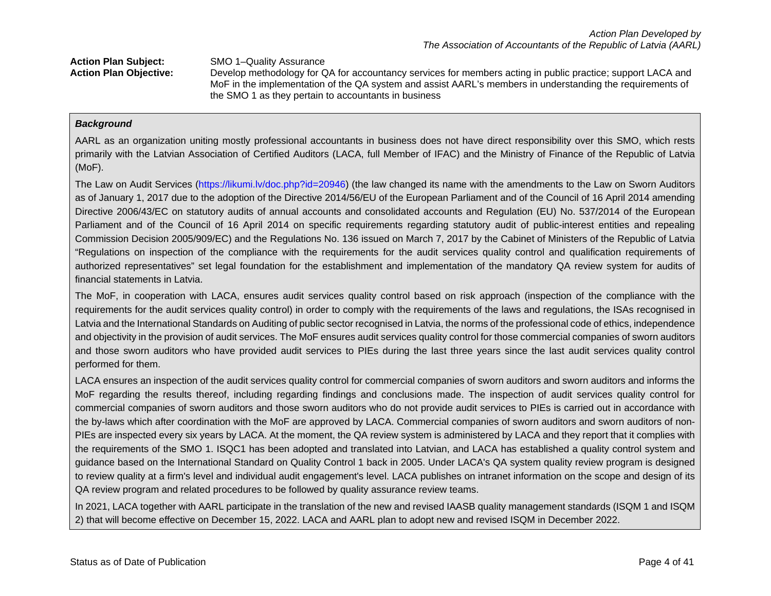**Action Plan Subject:** SMO 1–Quality Assurance **Action Plan Objective:** Develop methodology for QA for accountancy services for members acting in public practice; support LACA and MoF in the implementation of the QA system and assist AARL's members in understanding the requirements of

# the SMO 1 as they pertain to accountants in business

### *Background*

AARL as an organization uniting mostly professional accountants in business does not have direct responsibility over this SMO, which rests primarily with the Latvian Association of Certified Auditors (LACA, full Member of IFAC) and the Ministry of Finance of the Republic of Latvia (MoF).

The Law on Audit Services [\(https://likumi.lv/doc.php?id=20946\)](https://likumi.lv/doc.php?id=20946) (the law changed its name with the amendments to the Law on Sworn Auditors as of January 1, 2017 due to the adoption of the Directive 2014/56/EU of the European Parliament and of the Council of 16 April 2014 amending Directive 2006/43/EC on statutory audits of annual accounts and consolidated accounts and Regulation (EU) No. 537/2014 of the European Parliament and of the Council of 16 April 2014 on specific requirements regarding statutory audit of public-interest entities and repealing Commission Decision 2005/909/EC) and the Regulations No. 136 issued on March 7, 2017 by the Cabinet of Ministers of the Republic of Latvia "Regulations on inspection of the compliance with the requirements for the audit services quality control and qualification requirements of authorized representatives" set legal foundation for the establishment and implementation of the mandatory QA review system for audits of financial statements in Latvia.

The MoF, in cooperation with LACA, ensures audit services quality control based on risk approach (inspection of the compliance with the requirements for the audit services quality control) in order to comply with the requirements of the laws and regulations, the ISAs recognised in Latvia and the International Standards on Auditing of public sector recognised in Latvia, the norms of the professional code of ethics, independence and objectivity in the provision of audit services. The MoF ensures audit services quality control for those commercial companies of sworn auditors and those sworn auditors who have provided audit services to PIEs during the last three years since the last audit services quality control performed for them.

LACA ensures an inspection of the audit services quality control for commercial companies of sworn auditors and sworn auditors and informs the MoF regarding the results thereof, including regarding findings and conclusions made. The inspection of audit services quality control for commercial companies of sworn auditors and those sworn auditors who do not provide audit services to PIEs is carried out in accordance with the by-laws which after coordination with the MoF are approved by LACA. Commercial companies of sworn auditors and sworn auditors of non-PIEs are inspected every six years by LACA. At the moment, the QA review system is administered by LACA and they report that it complies with the requirements of the SMO 1. ISQC1 has been adopted and translated into Latvian, and LACA has established a quality control system and guidance based on the International Standard on Quality Control 1 back in 2005. Under LACA's QA system quality review program is designed to review quality at a firm's level and individual audit engagement's level. LACA publishes on intranet information on the scope and design of its QA review program and related procedures to be followed by quality assurance review teams.

In 2021, LACA together with AARL participate in the translation of the new and revised IAASB quality management standards (ISQM 1 and ISQM 2) that will become effective on December 15, 2022. LACA and AARL plan to adopt new and revised ISQM in December 2022.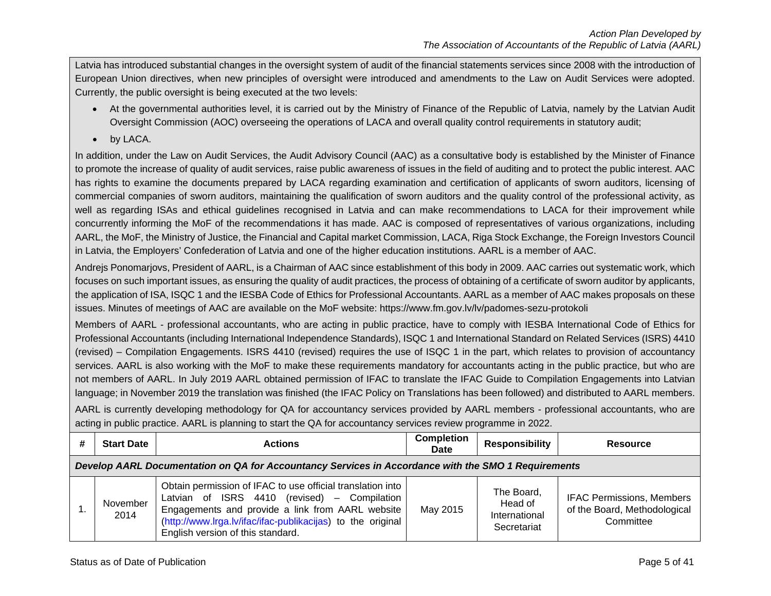Latvia has introduced substantial changes in the oversight system of audit of the financial statements services since 2008 with the introduction of European Union directives, when new principles of oversight were introduced and amendments to the Law on Audit Services were adopted. Currently, the public oversight is being executed at the two levels:

- At the governmental authorities level, it is carried out by the Ministry of Finance of the Republic of Latvia, namely by the Latvian Audit Oversight Commission (AOC) overseeing the operations of LACA and overall quality control requirements in statutory audit;
- by LACA.

In addition, under the Law on Audit Services, the Audit Advisory Council (AAC) as a consultative body is established by the Minister of Finance to promote the increase of quality of audit services, raise public awareness of issues in the field of auditing and to protect the public interest. AAC has rights to examine the documents prepared by LACA regarding examination and certification of applicants of sworn auditors, licensing of commercial companies of sworn auditors, maintaining the qualification of sworn auditors and the quality control of the professional activity, as well as regarding ISAs and ethical guidelines recognised in Latvia and can make recommendations to LACA for their improvement while concurrently informing the MoF of the recommendations it has made. AAC is composed of representatives of various organizations, including AARL, the MoF, the Ministry of Justice, the Financial and Capital market Commission, LACA, Riga Stock Exchange, the Foreign Investors Council in Latvia, the Employers' Confederation of Latvia and one of the higher education institutions. AARL is a member of AAC.

Andrejs Ponomarjovs, President of AARL, is a Chairman of AAC since establishment of this body in 2009. AAC carries out systematic work, which focuses on such important issues, as ensuring the quality of audit practices, the process of obtaining of a certificate of sworn auditor by applicants, the application of ISA, ISQC 1 and the IESBA Code of Ethics for Professional Accountants. AARL as a member of AAC makes proposals on these issues. Minutes of meetings of AAC are available on the MoF website:<https://www.fm.gov.lv/lv/padomes-sezu-protokoli>

Members of AARL - professional accountants, who are acting in public practice, have to comply with IESBA International Code of Ethics for Professional Accountants (including International Independence Standards), ISQC 1 and International Standard on Related Services (ISRS) 4410 (revised) – Compilation Engagements. ISRS 4410 (revised) requires the use of ISQC 1 in the part, which relates to provision of accountancy services. AARL is also working with the MoF to make these requirements mandatory for accountants acting in the public practice, but who are not members of AARL. In July 2019 AARL obtained permission of IFAC to translate the IFAC Guide to Compilation Engagements into Latvian language; in November 2019 the translation was finished (the IFAC Policy on Translations has been followed) and distributed to AARL members.

AARL is currently developing methodology for QA for accountancy services provided by AARL members - professional accountants, who are acting in public practice. AARL is planning to start the QA for accountancy services review programme in 2022.

| <b>Start Date</b>                                                                                   | <b>Actions</b>                                                                                                                                                                                                                                                     | <b>Completion</b><br><b>Date</b> | <b>Responsibility</b>                                 | <b>Resource</b>                                                               |  |
|-----------------------------------------------------------------------------------------------------|--------------------------------------------------------------------------------------------------------------------------------------------------------------------------------------------------------------------------------------------------------------------|----------------------------------|-------------------------------------------------------|-------------------------------------------------------------------------------|--|
| Develop AARL Documentation on QA for Accountancy Services in Accordance with the SMO 1 Requirements |                                                                                                                                                                                                                                                                    |                                  |                                                       |                                                                               |  |
| November<br>2014                                                                                    | Obtain permission of IFAC to use official translation into<br>Latvian of ISRS 4410 (revised) - Compilation<br>Engagements and provide a link from AARL website<br>(http://www.lrga.lv/ifac/ifac-publikacijas) to the original<br>English version of this standard. | May 2015                         | The Board,<br>Head of<br>International<br>Secretariat | <b>IFAC Permissions, Members</b><br>of the Board, Methodological<br>Committee |  |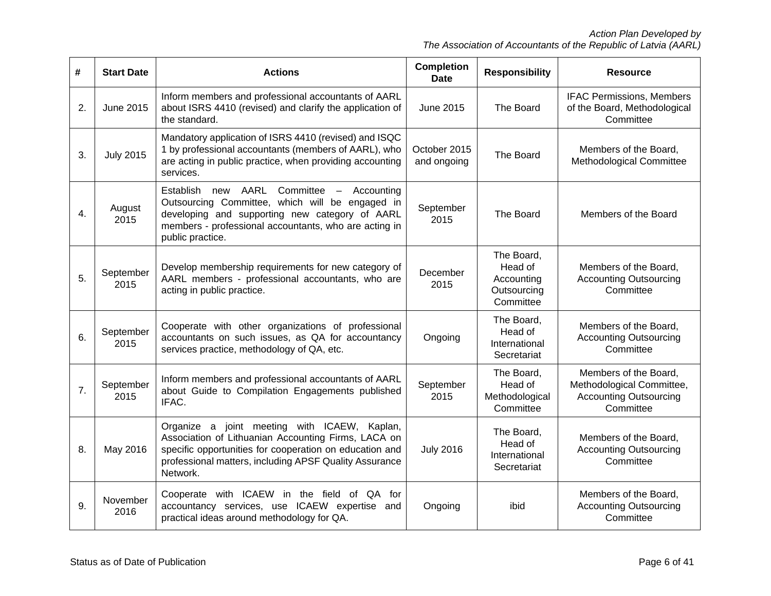| #  | <b>Start Date</b>                                                                                                                                                                                                                                      | <b>Actions</b>                                                                                                                                                                                                                       | <b>Completion</b><br><b>Date</b> | <b>Responsibility</b>                                           | <b>Resource</b>                                                                                  |
|----|--------------------------------------------------------------------------------------------------------------------------------------------------------------------------------------------------------------------------------------------------------|--------------------------------------------------------------------------------------------------------------------------------------------------------------------------------------------------------------------------------------|----------------------------------|-----------------------------------------------------------------|--------------------------------------------------------------------------------------------------|
| 2. | June 2015                                                                                                                                                                                                                                              | Inform members and professional accountants of AARL<br>about ISRS 4410 (revised) and clarify the application of<br>the standard.                                                                                                     | June 2015                        | The Board                                                       | <b>IFAC Permissions, Members</b><br>of the Board, Methodological<br>Committee                    |
| 3. | Mandatory application of ISRS 4410 (revised) and ISQC<br>1 by professional accountants (members of AARL), who<br>October 2015<br><b>July 2015</b><br>are acting in public practice, when providing accounting<br>services.                             |                                                                                                                                                                                                                                      |                                  | The Board                                                       | Members of the Board,<br>Methodological Committee                                                |
| 4. | new AARL<br>Committee -<br>Establish<br>Accounting<br>Outsourcing Committee, which will be engaged in<br>August<br>developing and supporting new category of AARL<br>2015<br>members - professional accountants, who are acting in<br>public practice. |                                                                                                                                                                                                                                      |                                  | The Board                                                       | Members of the Board                                                                             |
| 5. | September<br>2015                                                                                                                                                                                                                                      | Develop membership requirements for new category of<br>AARL members - professional accountants, who are<br>acting in public practice.                                                                                                |                                  | The Board,<br>Head of<br>Accounting<br>Outsourcing<br>Committee | Members of the Board,<br><b>Accounting Outsourcing</b><br>Committee                              |
| 6. | September<br>2015                                                                                                                                                                                                                                      | Cooperate with other organizations of professional<br>accountants on such issues, as QA for accountancy<br>services practice, methodology of QA, etc.                                                                                |                                  | The Board,<br>Head of<br>International<br>Secretariat           | Members of the Board,<br><b>Accounting Outsourcing</b><br>Committee                              |
| 7. | September<br>2015                                                                                                                                                                                                                                      | Inform members and professional accountants of AARL<br>about Guide to Compilation Engagements published<br>IFAC.                                                                                                                     | September<br>2015                | The Board,<br>Head of<br>Methodological<br>Committee            | Members of the Board,<br>Methodological Committee,<br><b>Accounting Outsourcing</b><br>Committee |
| 8. | May 2016                                                                                                                                                                                                                                               | Organize a joint meeting with ICAEW, Kaplan,<br>Association of Lithuanian Accounting Firms, LACA on<br>specific opportunities for cooperation on education and<br>professional matters, including APSF Quality Assurance<br>Network. | <b>July 2016</b>                 | The Board,<br>Head of<br>International<br>Secretariat           | Members of the Board,<br><b>Accounting Outsourcing</b><br>Committee                              |
| 9. | November<br>2016                                                                                                                                                                                                                                       | Cooperate with ICAEW in the field of QA for<br>accountancy services, use ICAEW expertise<br>and<br>practical ideas around methodology for QA.                                                                                        | Ongoing                          | ibid                                                            | Members of the Board,<br><b>Accounting Outsourcing</b><br>Committee                              |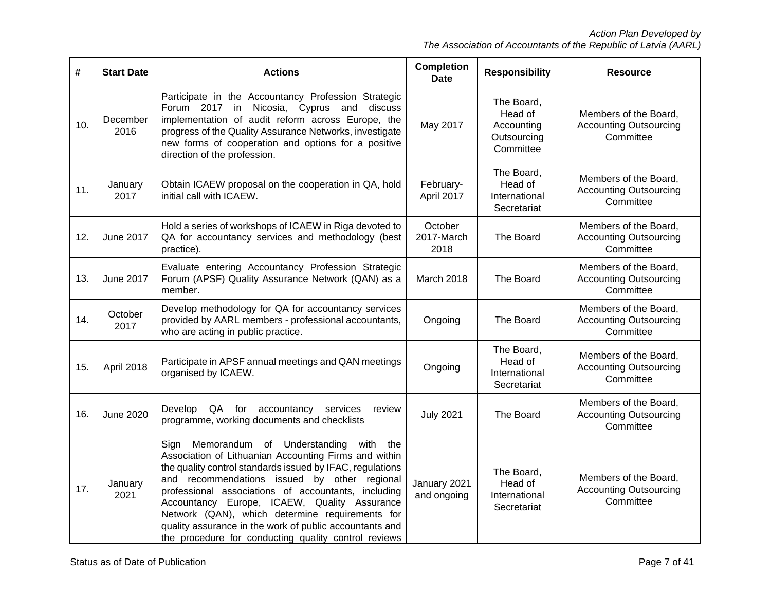| #   | <b>Start Date</b> | <b>Actions</b>                                                                                                                                                                                                                                                                                                                                                                                                                                                                                     | <b>Completion</b><br><b>Date</b> | <b>Responsibility</b>                                           | <b>Resource</b>                                                     |
|-----|-------------------|----------------------------------------------------------------------------------------------------------------------------------------------------------------------------------------------------------------------------------------------------------------------------------------------------------------------------------------------------------------------------------------------------------------------------------------------------------------------------------------------------|----------------------------------|-----------------------------------------------------------------|---------------------------------------------------------------------|
| 10. | December<br>2016  | Participate in the Accountancy Profession Strategic<br>Forum 2017 in Nicosia, Cyprus and discuss<br>implementation of audit reform across Europe, the<br>progress of the Quality Assurance Networks, investigate<br>new forms of cooperation and options for a positive<br>direction of the profession.                                                                                                                                                                                            | May 2017                         | The Board,<br>Head of<br>Accounting<br>Outsourcing<br>Committee | Members of the Board,<br><b>Accounting Outsourcing</b><br>Committee |
| 11. | January<br>2017   | Obtain ICAEW proposal on the cooperation in QA, hold<br>initial call with ICAEW.                                                                                                                                                                                                                                                                                                                                                                                                                   |                                  | The Board,<br>Head of<br>International<br>Secretariat           | Members of the Board,<br><b>Accounting Outsourcing</b><br>Committee |
| 12. | <b>June 2017</b>  | Hold a series of workshops of ICAEW in Riga devoted to<br>QA for accountancy services and methodology (best<br>practice).                                                                                                                                                                                                                                                                                                                                                                          | October<br>2017-March<br>2018    | The Board                                                       | Members of the Board,<br><b>Accounting Outsourcing</b><br>Committee |
| 13. | <b>June 2017</b>  | Evaluate entering Accountancy Profession Strategic<br>Forum (APSF) Quality Assurance Network (QAN) as a<br>member.                                                                                                                                                                                                                                                                                                                                                                                 | March 2018                       | The Board                                                       | Members of the Board,<br><b>Accounting Outsourcing</b><br>Committee |
| 14. | October<br>2017   | Develop methodology for QA for accountancy services<br>provided by AARL members - professional accountants,<br>who are acting in public practice.                                                                                                                                                                                                                                                                                                                                                  | Ongoing                          | The Board                                                       | Members of the Board,<br><b>Accounting Outsourcing</b><br>Committee |
| 15. | April 2018        | Participate in APSF annual meetings and QAN meetings<br>organised by ICAEW.                                                                                                                                                                                                                                                                                                                                                                                                                        |                                  | The Board,<br>Head of<br>International<br>Secretariat           | Members of the Board,<br><b>Accounting Outsourcing</b><br>Committee |
| 16. | June 2020         | QA<br>for<br>Develop<br>accountancy<br>services<br>review<br>programme, working documents and checklists                                                                                                                                                                                                                                                                                                                                                                                           | <b>July 2021</b>                 | The Board                                                       | Members of the Board,<br><b>Accounting Outsourcing</b><br>Committee |
| 17. | January<br>2021   | Memorandum of Understanding<br>with the<br>Sign<br>Association of Lithuanian Accounting Firms and within<br>the quality control standards issued by IFAC, regulations<br>and recommendations issued by other regional<br>professional associations of accountants, including<br>Accountancy Europe, ICAEW, Quality Assurance<br>Network (QAN), which determine requirements for<br>quality assurance in the work of public accountants and<br>the procedure for conducting quality control reviews | January 2021<br>and ongoing      | The Board,<br>Head of<br>International<br>Secretariat           | Members of the Board,<br><b>Accounting Outsourcing</b><br>Committee |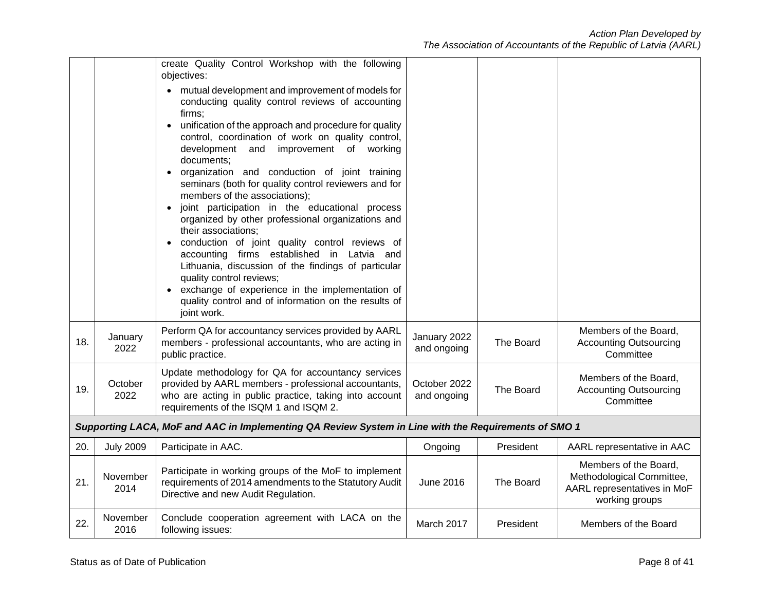|     |                                                                                                                                                                                                                                   | create Quality Control Workshop with the following<br>objectives:<br>mutual development and improvement of models for<br>$\bullet$<br>conducting quality control reviews of accounting<br>firms;<br>unification of the approach and procedure for quality<br>control, coordination of work on quality control,<br>development and<br>improvement of working<br>documents;<br>organization and conduction of joint training<br>seminars (both for quality control reviewers and for<br>members of the associations);<br>joint participation in the educational process<br>$\bullet$<br>organized by other professional organizations and<br>their associations;<br>conduction of joint quality control reviews of<br>accounting firms established in Latvia and<br>Lithuania, discussion of the findings of particular<br>quality control reviews;<br>exchange of experience in the implementation of<br>$\bullet$<br>quality control and of information on the results of<br>joint work. |                             |           |                                                                                                     |
|-----|-----------------------------------------------------------------------------------------------------------------------------------------------------------------------------------------------------------------------------------|------------------------------------------------------------------------------------------------------------------------------------------------------------------------------------------------------------------------------------------------------------------------------------------------------------------------------------------------------------------------------------------------------------------------------------------------------------------------------------------------------------------------------------------------------------------------------------------------------------------------------------------------------------------------------------------------------------------------------------------------------------------------------------------------------------------------------------------------------------------------------------------------------------------------------------------------------------------------------------------|-----------------------------|-----------|-----------------------------------------------------------------------------------------------------|
| 18. | January<br>2022                                                                                                                                                                                                                   | Perform QA for accountancy services provided by AARL<br>members - professional accountants, who are acting in<br>public practice.                                                                                                                                                                                                                                                                                                                                                                                                                                                                                                                                                                                                                                                                                                                                                                                                                                                        | January 2022<br>and ongoing | The Board | Members of the Board,<br><b>Accounting Outsourcing</b><br>Committee                                 |
| 19. | Update methodology for QA for accountancy services<br>provided by AARL members - professional accountants,<br>October<br>2022<br>who are acting in public practice, taking into account<br>requirements of the ISQM 1 and ISQM 2. |                                                                                                                                                                                                                                                                                                                                                                                                                                                                                                                                                                                                                                                                                                                                                                                                                                                                                                                                                                                          | October 2022<br>and ongoing | The Board | Members of the Board,<br><b>Accounting Outsourcing</b><br>Committee                                 |
|     |                                                                                                                                                                                                                                   | Supporting LACA, MoF and AAC in Implementing QA Review System in Line with the Requirements of SMO 1                                                                                                                                                                                                                                                                                                                                                                                                                                                                                                                                                                                                                                                                                                                                                                                                                                                                                     |                             |           |                                                                                                     |
| 20. | <b>July 2009</b>                                                                                                                                                                                                                  | Participate in AAC.                                                                                                                                                                                                                                                                                                                                                                                                                                                                                                                                                                                                                                                                                                                                                                                                                                                                                                                                                                      | Ongoing                     | President | AARL representative in AAC                                                                          |
| 21. | November<br>2014                                                                                                                                                                                                                  | Participate in working groups of the MoF to implement<br>requirements of 2014 amendments to the Statutory Audit<br>Directive and new Audit Regulation.                                                                                                                                                                                                                                                                                                                                                                                                                                                                                                                                                                                                                                                                                                                                                                                                                                   | <b>June 2016</b>            | The Board | Members of the Board,<br>Methodological Committee,<br>AARL representatives in MoF<br>working groups |
| 22. | November<br>2016                                                                                                                                                                                                                  | Conclude cooperation agreement with LACA on the<br>following issues:                                                                                                                                                                                                                                                                                                                                                                                                                                                                                                                                                                                                                                                                                                                                                                                                                                                                                                                     | March 2017                  | President | Members of the Board                                                                                |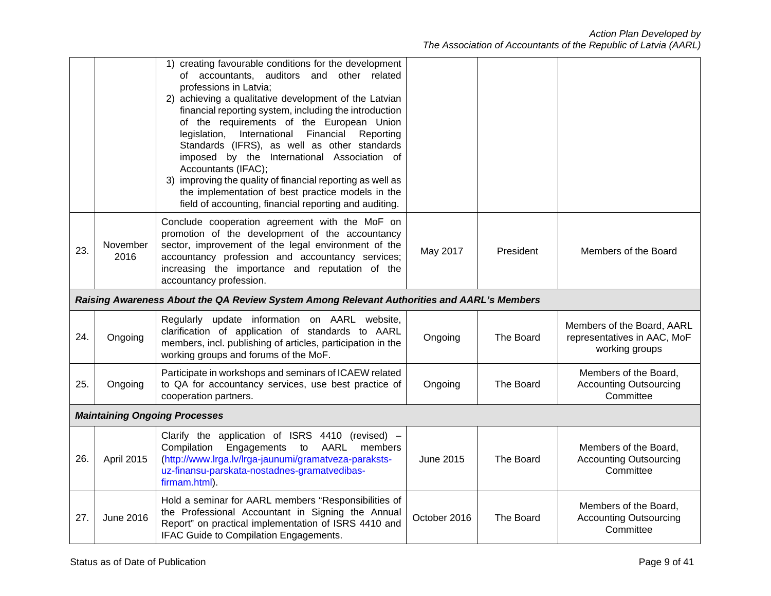|     |                                                                                                                                                                                                                                                                                                                | 1) creating favourable conditions for the development<br>of accountants, auditors and other related<br>professions in Latvia;<br>2) achieving a qualitative development of the Latvian<br>financial reporting system, including the introduction<br>of the requirements of the European Union<br>legislation, International Financial<br>Reporting<br>Standards (IFRS), as well as other standards<br>imposed by the International Association of<br>Accountants (IFAC);<br>3) improving the quality of financial reporting as well as<br>the implementation of best practice models in the<br>field of accounting, financial reporting and auditing. |                  |                  |                                                                             |
|-----|----------------------------------------------------------------------------------------------------------------------------------------------------------------------------------------------------------------------------------------------------------------------------------------------------------------|-------------------------------------------------------------------------------------------------------------------------------------------------------------------------------------------------------------------------------------------------------------------------------------------------------------------------------------------------------------------------------------------------------------------------------------------------------------------------------------------------------------------------------------------------------------------------------------------------------------------------------------------------------|------------------|------------------|-----------------------------------------------------------------------------|
| 23. | Conclude cooperation agreement with the MoF on<br>promotion of the development of the accountancy<br>sector, improvement of the legal environment of the<br>November<br>accountancy profession and accountancy services;<br>2016<br>increasing the importance and reputation of the<br>accountancy profession. |                                                                                                                                                                                                                                                                                                                                                                                                                                                                                                                                                                                                                                                       | May 2017         | <b>President</b> | Members of the Board                                                        |
|     |                                                                                                                                                                                                                                                                                                                | Raising Awareness About the QA Review System Among Relevant Authorities and AARL's Members                                                                                                                                                                                                                                                                                                                                                                                                                                                                                                                                                            |                  |                  |                                                                             |
| 24. | Ongoing                                                                                                                                                                                                                                                                                                        | Regularly update information on AARL website,<br>clarification of application of standards to AARL<br>members, incl. publishing of articles, participation in the<br>working groups and forums of the MoF.                                                                                                                                                                                                                                                                                                                                                                                                                                            | Ongoing          | The Board        | Members of the Board, AARL<br>representatives in AAC, MoF<br>working groups |
| 25. | Ongoing                                                                                                                                                                                                                                                                                                        | Participate in workshops and seminars of ICAEW related<br>to QA for accountancy services, use best practice of<br>cooperation partners.                                                                                                                                                                                                                                                                                                                                                                                                                                                                                                               | Ongoing          | The Board        | Members of the Board,<br><b>Accounting Outsourcing</b><br>Committee         |
|     |                                                                                                                                                                                                                                                                                                                | <b>Maintaining Ongoing Processes</b>                                                                                                                                                                                                                                                                                                                                                                                                                                                                                                                                                                                                                  |                  |                  |                                                                             |
| 26. | April 2015                                                                                                                                                                                                                                                                                                     | Clarify the application of ISRS 4410 (revised) -<br>Compilation<br>Engagements<br>to<br>AARL<br>members<br>(http://www.lrga.lv/lrga-jaunumi/gramatveza-paraksts-<br>uz-finansu-parskata-nostadnes-gramatvedibas-<br>firmam.html).                                                                                                                                                                                                                                                                                                                                                                                                                     | <b>June 2015</b> | The Board        | Members of the Board,<br><b>Accounting Outsourcing</b><br>Committee         |
| 27. | <b>June 2016</b>                                                                                                                                                                                                                                                                                               | Hold a seminar for AARL members "Responsibilities of<br>the Professional Accountant in Signing the Annual<br>Report" on practical implementation of ISRS 4410 and<br>IFAC Guide to Compilation Engagements.                                                                                                                                                                                                                                                                                                                                                                                                                                           | October 2016     | The Board        | Members of the Board,<br><b>Accounting Outsourcing</b><br>Committee         |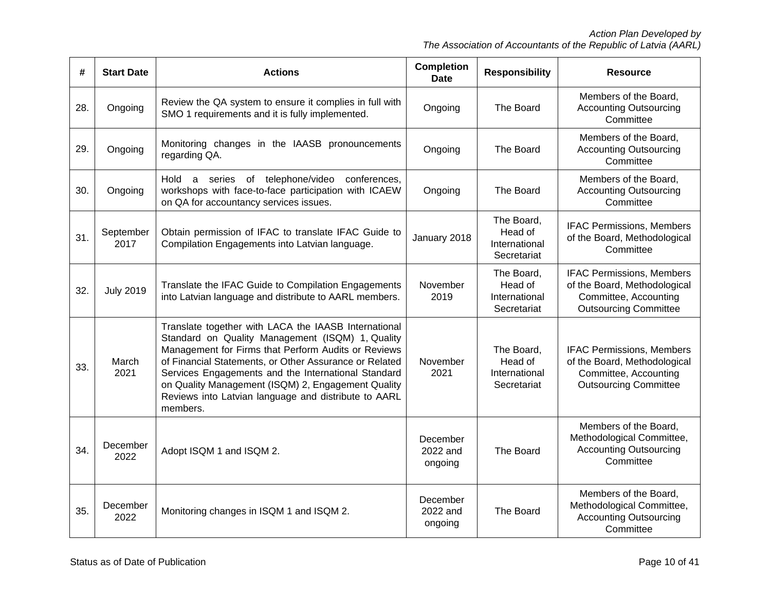| #   | <b>Start Date</b> | <b>Actions</b>                                                                                                                                                                                                                                                                                                                                                                                             | <b>Completion</b><br><b>Date</b> | <b>Responsibility</b>                                 | <b>Resource</b>                                                                                                           |
|-----|-------------------|------------------------------------------------------------------------------------------------------------------------------------------------------------------------------------------------------------------------------------------------------------------------------------------------------------------------------------------------------------------------------------------------------------|----------------------------------|-------------------------------------------------------|---------------------------------------------------------------------------------------------------------------------------|
| 28. | Ongoing           | Review the QA system to ensure it complies in full with<br>SMO 1 requirements and it is fully implemented.                                                                                                                                                                                                                                                                                                 | Ongoing                          | The Board                                             | Members of the Board,<br><b>Accounting Outsourcing</b><br>Committee                                                       |
| 29. | Ongoing           | Monitoring changes in the IAASB pronouncements<br>regarding QA.                                                                                                                                                                                                                                                                                                                                            | Ongoing                          | The Board                                             | Members of the Board,<br><b>Accounting Outsourcing</b><br>Committee                                                       |
| 30. | Ongoing           | Hold a series of telephone/video<br>conferences,<br>workshops with face-to-face participation with ICAEW<br>on QA for accountancy services issues.                                                                                                                                                                                                                                                         | Ongoing                          | The Board                                             | Members of the Board,<br><b>Accounting Outsourcing</b><br>Committee                                                       |
| 31. | September<br>2017 | Obtain permission of IFAC to translate IFAC Guide to<br>Compilation Engagements into Latvian language.                                                                                                                                                                                                                                                                                                     | January 2018                     | The Board,<br>Head of<br>International<br>Secretariat | <b>IFAC Permissions, Members</b><br>of the Board, Methodological<br>Committee                                             |
| 32. | <b>July 2019</b>  | Translate the IFAC Guide to Compilation Engagements<br>into Latvian language and distribute to AARL members.                                                                                                                                                                                                                                                                                               | November<br>2019                 | The Board,<br>Head of<br>International<br>Secretariat | <b>IFAC Permissions, Members</b><br>of the Board, Methodological<br>Committee, Accounting<br><b>Outsourcing Committee</b> |
| 33. | March<br>2021     | Translate together with LACA the IAASB International<br>Standard on Quality Management (ISQM) 1, Quality<br>Management for Firms that Perform Audits or Reviews<br>of Financial Statements, or Other Assurance or Related<br>Services Engagements and the International Standard<br>on Quality Management (ISQM) 2, Engagement Quality<br>Reviews into Latvian language and distribute to AARL<br>members. | November<br>2021                 | The Board,<br>Head of<br>International<br>Secretariat | <b>IFAC Permissions, Members</b><br>of the Board, Methodological<br>Committee, Accounting<br><b>Outsourcing Committee</b> |
| 34. | December<br>2022  | Adopt ISQM 1 and ISQM 2.                                                                                                                                                                                                                                                                                                                                                                                   | December<br>2022 and<br>ongoing  | The Board                                             | Members of the Board,<br>Methodological Committee,<br><b>Accounting Outsourcing</b><br>Committee                          |
| 35. | December<br>2022  | Monitoring changes in ISQM 1 and ISQM 2.                                                                                                                                                                                                                                                                                                                                                                   | December<br>2022 and<br>ongoing  | The Board                                             | Members of the Board,<br>Methodological Committee,<br><b>Accounting Outsourcing</b><br>Committee                          |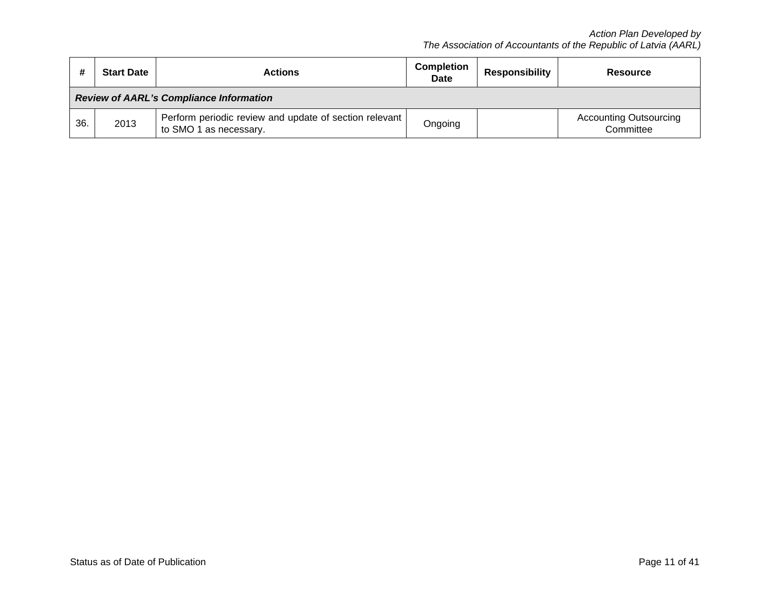| #<br><b>Start Date</b><br><b>Actions</b> |                                                | <b>Completion</b><br><b>Date</b>                                                 | <b>Responsibility</b> | <b>Resource</b> |                                            |  |
|------------------------------------------|------------------------------------------------|----------------------------------------------------------------------------------|-----------------------|-----------------|--------------------------------------------|--|
|                                          | <b>Review of AARL's Compliance Information</b> |                                                                                  |                       |                 |                                            |  |
| 36.                                      | 2013                                           | Perform periodic review and update of section relevant<br>to SMO 1 as necessary. | Ongoing               |                 | <b>Accounting Outsourcing</b><br>Committee |  |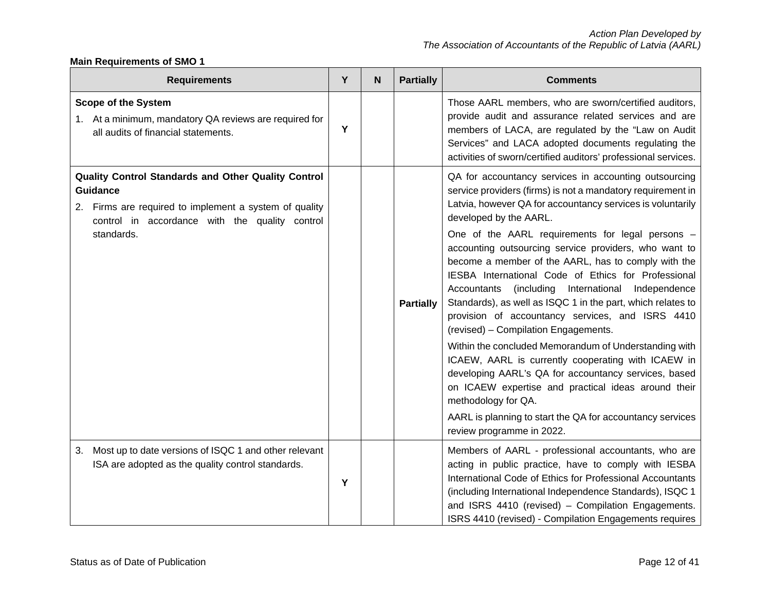# **Main Requirements of SMO 1**

| <b>Requirements</b>                                                                                                                                                                              | Y | N | <b>Partially</b> | <b>Comments</b>                                                                                                                                                                                                                                                                                                                                                                                                                                                                                                                                                                                                                                                                                                                                                                                                                                                                                                                                                                                                  |
|--------------------------------------------------------------------------------------------------------------------------------------------------------------------------------------------------|---|---|------------------|------------------------------------------------------------------------------------------------------------------------------------------------------------------------------------------------------------------------------------------------------------------------------------------------------------------------------------------------------------------------------------------------------------------------------------------------------------------------------------------------------------------------------------------------------------------------------------------------------------------------------------------------------------------------------------------------------------------------------------------------------------------------------------------------------------------------------------------------------------------------------------------------------------------------------------------------------------------------------------------------------------------|
| <b>Scope of the System</b><br>1. At a minimum, mandatory QA reviews are required for<br>all audits of financial statements.                                                                      | Y |   |                  | Those AARL members, who are sworn/certified auditors,<br>provide audit and assurance related services and are<br>members of LACA, are regulated by the "Law on Audit<br>Services" and LACA adopted documents regulating the<br>activities of sworn/certified auditors' professional services.                                                                                                                                                                                                                                                                                                                                                                                                                                                                                                                                                                                                                                                                                                                    |
| Quality Control Standards and Other Quality Control<br><b>Guidance</b><br>2. Firms are required to implement a system of quality<br>control in accordance with the quality control<br>standards. |   |   | <b>Partially</b> | QA for accountancy services in accounting outsourcing<br>service providers (firms) is not a mandatory requirement in<br>Latvia, however QA for accountancy services is voluntarily<br>developed by the AARL.<br>One of the AARL requirements for legal persons -<br>accounting outsourcing service providers, who want to<br>become a member of the AARL, has to comply with the<br>IESBA International Code of Ethics for Professional<br>Accountants<br>(including)<br>International<br>Independence<br>Standards), as well as ISQC 1 in the part, which relates to<br>provision of accountancy services, and ISRS 4410<br>(revised) - Compilation Engagements.<br>Within the concluded Memorandum of Understanding with<br>ICAEW, AARL is currently cooperating with ICAEW in<br>developing AARL's QA for accountancy services, based<br>on ICAEW expertise and practical ideas around their<br>methodology for QA.<br>AARL is planning to start the QA for accountancy services<br>review programme in 2022. |
| Most up to date versions of ISQC 1 and other relevant<br>З.<br>ISA are adopted as the quality control standards.                                                                                 | Y |   |                  | Members of AARL - professional accountants, who are<br>acting in public practice, have to comply with IESBA<br>International Code of Ethics for Professional Accountants<br>(including International Independence Standards), ISQC 1<br>and ISRS 4410 (revised) - Compilation Engagements.<br>ISRS 4410 (revised) - Compilation Engagements requires                                                                                                                                                                                                                                                                                                                                                                                                                                                                                                                                                                                                                                                             |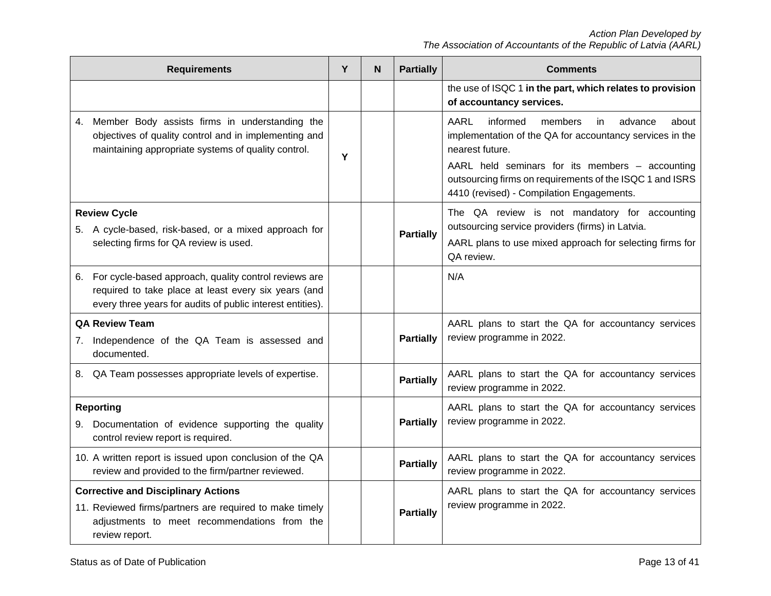| <b>Requirements</b>                                                                                                                                                            | Y | N | <b>Partially</b> | <b>Comments</b>                                                                                                                                                                                                                                                                                   |
|--------------------------------------------------------------------------------------------------------------------------------------------------------------------------------|---|---|------------------|---------------------------------------------------------------------------------------------------------------------------------------------------------------------------------------------------------------------------------------------------------------------------------------------------|
|                                                                                                                                                                                |   |   |                  | the use of ISQC 1 in the part, which relates to provision<br>of accountancy services.                                                                                                                                                                                                             |
| 4. Member Body assists firms in understanding the<br>objectives of quality control and in implementing and<br>maintaining appropriate systems of quality control.              | Y |   |                  | AARL<br>informed<br>about<br>members<br>in.<br>advance<br>implementation of the QA for accountancy services in the<br>nearest future.<br>AARL held seminars for its members - accounting<br>outsourcing firms on requirements of the ISQC 1 and ISRS<br>4410 (revised) - Compilation Engagements. |
| <b>Review Cycle</b><br>5. A cycle-based, risk-based, or a mixed approach for<br>selecting firms for QA review is used.                                                         |   |   | <b>Partially</b> | The QA review is not mandatory for accounting<br>outsourcing service providers (firms) in Latvia.<br>AARL plans to use mixed approach for selecting firms for<br>QA review.                                                                                                                       |
| 6. For cycle-based approach, quality control reviews are<br>required to take place at least every six years (and<br>every three years for audits of public interest entities). |   |   |                  | N/A                                                                                                                                                                                                                                                                                               |
| <b>QA Review Team</b><br>7. Independence of the QA Team is assessed and<br>documented.                                                                                         |   |   | <b>Partially</b> | AARL plans to start the QA for accountancy services<br>review programme in 2022.                                                                                                                                                                                                                  |
| 8. QA Team possesses appropriate levels of expertise.                                                                                                                          |   |   | <b>Partially</b> | AARL plans to start the QA for accountancy services<br>review programme in 2022.                                                                                                                                                                                                                  |
| <b>Reporting</b><br>9. Documentation of evidence supporting the quality<br>control review report is required.                                                                  |   |   | <b>Partially</b> | AARL plans to start the QA for accountancy services<br>review programme in 2022.                                                                                                                                                                                                                  |
| 10. A written report is issued upon conclusion of the QA<br>review and provided to the firm/partner reviewed.                                                                  |   |   | <b>Partially</b> | AARL plans to start the QA for accountancy services<br>review programme in 2022.                                                                                                                                                                                                                  |
| <b>Corrective and Disciplinary Actions</b><br>11. Reviewed firms/partners are required to make timely<br>adjustments to meet recommendations from the<br>review report.        |   |   | <b>Partially</b> | AARL plans to start the QA for accountancy services<br>review programme in 2022.                                                                                                                                                                                                                  |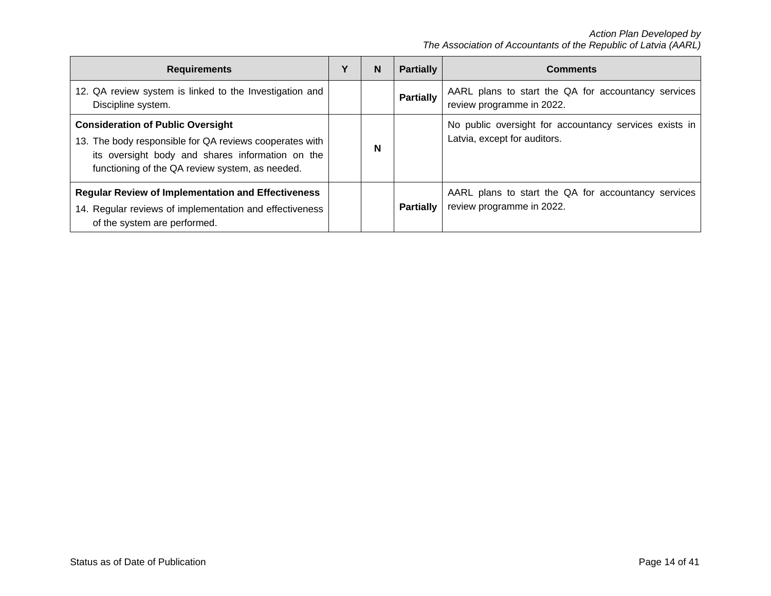| <b>Requirements</b>                                                                                                                                                                                        | ν | N | <b>Partially</b> | <b>Comments</b>                                                                        |
|------------------------------------------------------------------------------------------------------------------------------------------------------------------------------------------------------------|---|---|------------------|----------------------------------------------------------------------------------------|
| 12. QA review system is linked to the Investigation and<br>Discipline system.                                                                                                                              |   |   | <b>Partially</b> | AARL plans to start the QA for accountancy services<br>review programme in 2022.       |
| <b>Consideration of Public Oversight</b><br>13. The body responsible for QA reviews cooperates with<br>its oversight body and shares information on the<br>functioning of the QA review system, as needed. |   | N |                  | No public oversight for accountancy services exists in<br>Latvia, except for auditors. |
| <b>Regular Review of Implementation and Effectiveness</b><br>14. Regular reviews of implementation and effectiveness<br>of the system are performed.                                                       |   |   | <b>Partially</b> | AARL plans to start the QA for accountancy services<br>review programme in 2022.       |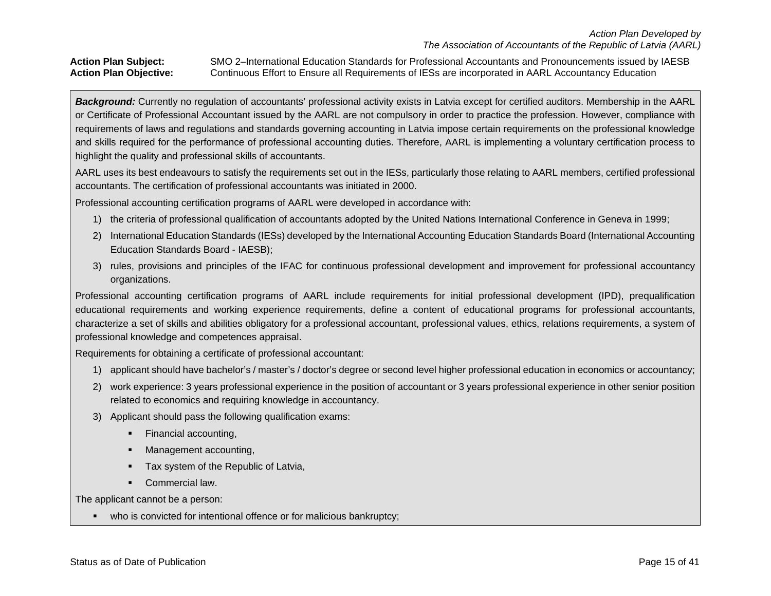**Action Plan Subject:** SMO 2–International Education Standards for Professional Accountants and Pronouncements issued by IAESB **Action Plan Objective:** Continuous Effort to Ensure all Requirements of IESs are incorporated in AARL Accountancy Education

*Background:* Currently no regulation of accountants' professional activity exists in Latvia except for certified auditors. Membership in the AARL or Certificate of Professional Accountant issued by the AARL are not compulsory in order to practice the profession. However, compliance with requirements of laws and regulations and standards governing accounting in Latvia impose certain requirements on the professional knowledge and skills required for the performance of professional accounting duties. Therefore, AARL is implementing a voluntary certification process to highlight the quality and professional skills of accountants.

AARL uses its best endeavours to satisfy the requirements set out in the IESs, particularly those relating to AARL members, certified professional accountants. The certification of professional accountants was initiated in 2000.

Professional accounting certification programs of AARL were developed in accordance with:

- 1) the criteria of professional qualification of accountants adopted by the United Nations International Conference in Geneva in 1999;
- 2) International Education Standards (IESs) developed by the International Accounting Education Standards Board (International Accounting Education Standards Board - IAESB);
- 3) rules, provisions and principles of the IFAC for continuous professional development and improvement for professional accountancy organizations.

Professional accounting certification programs of AARL include requirements for initial professional development (IPD), prequalification educational requirements and working experience requirements, define a content of educational programs for professional accountants, characterize a set of skills and abilities obligatory for a professional accountant, professional values, ethics, relations requirements, a system of professional knowledge and competences appraisal.

Requirements for obtaining a certificate of professional accountant:

- 1) applicant should have bachelor's / master's / doctor's degree or second level higher professional education in economics or accountancy;
- 2) work experience: 3 years professional experience in the position of accountant or 3 years professional experience in other senior position related to economics and requiring knowledge in accountancy.
- 3) Applicant should pass the following qualification exams:
	- Financial accounting,
	- Management accounting,
	- Tax system of the Republic of Latvia,
	- **•** Commercial law.

The applicant cannot be a person:

• who is convicted for intentional offence or for malicious bankruptcy;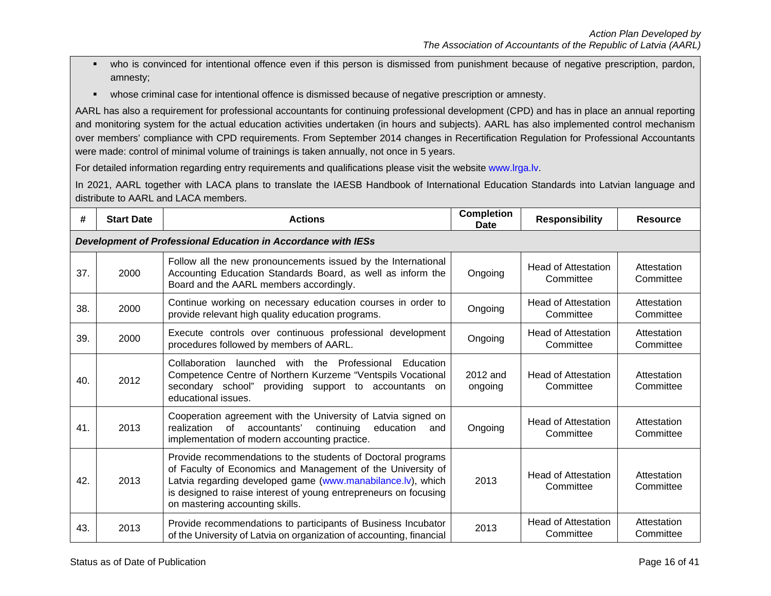- who is convinced for intentional offence even if this person is dismissed from punishment because of negative prescription, pardon, amnesty;
- whose criminal case for intentional offence is dismissed because of negative prescription or amnesty.

AARL has also a requirement for professional accountants for continuing professional development (CPD) and has in place an annual reporting and monitoring system for the actual education activities undertaken (in hours and subjects). AARL has also implemented control mechanism over members' compliance with CPD requirements. From September 2014 changes in Recertification Regulation for Professional Accountants were made: control of minimal volume of trainings is taken annually, not once in 5 years.

For detailed information regarding entry requirements and qualifications please visit the website [www.lrga.lv.](http://www.lrga.lv/)

In 2021, AARL together with LACA plans to translate the IAESB Handbook of International Education Standards into Latvian language and distribute to AARL and LACA members.

| #   | <b>Start Date</b> | <b>Completion</b><br><b>Actions</b><br>Date                                                                                                                                                                                                                                                       |                     | <b>Responsibility</b>                   | <b>Resource</b>          |
|-----|-------------------|---------------------------------------------------------------------------------------------------------------------------------------------------------------------------------------------------------------------------------------------------------------------------------------------------|---------------------|-----------------------------------------|--------------------------|
|     |                   | Development of Professional Education in Accordance with IESs                                                                                                                                                                                                                                     |                     |                                         |                          |
| 37. | 2000              | Follow all the new pronouncements issued by the International<br>Accounting Education Standards Board, as well as inform the<br>Board and the AARL members accordingly.                                                                                                                           | Ongoing             | Head of Attestation<br>Committee        | Attestation<br>Committee |
| 38. | 2000              | Continue working on necessary education courses in order to<br>provide relevant high quality education programs.                                                                                                                                                                                  | Ongoing             | <b>Head of Attestation</b><br>Committee | Attestation<br>Committee |
| 39. | 2000              | Execute controls over continuous professional development<br>procedures followed by members of AARL.                                                                                                                                                                                              | Ongoing             | <b>Head of Attestation</b><br>Committee | Attestation<br>Committee |
| 40. | 2012              | Collaboration<br>launched with<br>Professional<br>the<br>Education<br>Competence Centre of Northern Kurzeme "Ventspils Vocational<br>secondary school"<br>providing support to accountants on<br>educational issues.                                                                              | 2012 and<br>ongoing | <b>Head of Attestation</b><br>Committee | Attestation<br>Committee |
| 41. | 2013              | Cooperation agreement with the University of Latvia signed on<br>realization<br>of accountants'<br>continuing<br>education<br>and<br>implementation of modern accounting practice.                                                                                                                | Ongoing             | <b>Head of Attestation</b><br>Committee | Attestation<br>Committee |
| 42. | 2013              | Provide recommendations to the students of Doctoral programs<br>of Faculty of Economics and Management of the University of<br>Latvia regarding developed game (www.manabilance.lv), which<br>is designed to raise interest of young entrepreneurs on focusing<br>on mastering accounting skills. | 2013                | <b>Head of Attestation</b><br>Committee | Attestation<br>Committee |
| 43. | 2013              | Provide recommendations to participants of Business Incubator<br>of the University of Latvia on organization of accounting, financial                                                                                                                                                             | 2013                | <b>Head of Attestation</b><br>Committee | Attestation<br>Committee |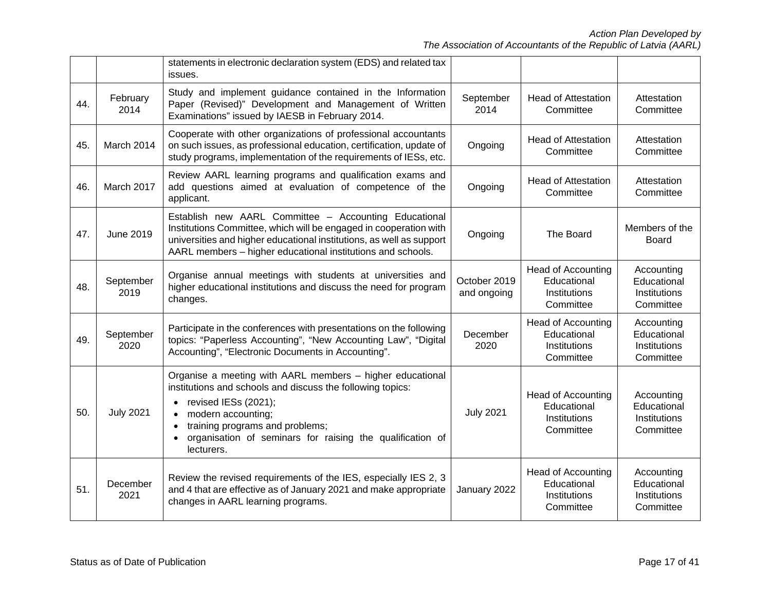|     |                   | statements in electronic declaration system (EDS) and related tax<br>issues.                                                                                                                                                                                                                                                            |                             |                                                                       |                                                        |
|-----|-------------------|-----------------------------------------------------------------------------------------------------------------------------------------------------------------------------------------------------------------------------------------------------------------------------------------------------------------------------------------|-----------------------------|-----------------------------------------------------------------------|--------------------------------------------------------|
| 44. | February<br>2014  | Study and implement guidance contained in the Information<br>Paper (Revised)" Development and Management of Written<br>Examinations" issued by IAESB in February 2014.                                                                                                                                                                  | September<br>2014           | <b>Head of Attestation</b><br>Committee                               | Attestation<br>Committee                               |
| 45. | March 2014        | Cooperate with other organizations of professional accountants<br>on such issues, as professional education, certification, update of<br>study programs, implementation of the requirements of IESs, etc.                                                                                                                               | Ongoing                     | <b>Head of Attestation</b><br>Committee                               | Attestation<br>Committee                               |
| 46. | March 2017        | Review AARL learning programs and qualification exams and<br>add questions aimed at evaluation of competence of the<br>applicant.                                                                                                                                                                                                       | Ongoing                     | <b>Head of Attestation</b><br>Committee                               | Attestation<br>Committee                               |
| 47. | <b>June 2019</b>  | Establish new AARL Committee - Accounting Educational<br>Institutions Committee, which will be engaged in cooperation with<br>universities and higher educational institutions, as well as support<br>AARL members - higher educational institutions and schools.                                                                       | Ongoing                     | The Board                                                             | Members of the<br><b>Board</b>                         |
| 48. | September<br>2019 | Organise annual meetings with students at universities and<br>higher educational institutions and discuss the need for program<br>changes.                                                                                                                                                                                              | October 2019<br>and ongoing | <b>Head of Accounting</b><br>Educational<br>Institutions<br>Committee | Accounting<br>Educational<br>Institutions<br>Committee |
| 49. | September<br>2020 | Participate in the conferences with presentations on the following<br>topics: "Paperless Accounting", "New Accounting Law", "Digital<br>Accounting", "Electronic Documents in Accounting".                                                                                                                                              | December<br>2020            | <b>Head of Accounting</b><br>Educational<br>Institutions<br>Committee | Accounting<br>Educational<br>Institutions<br>Committee |
| 50. | <b>July 2021</b>  | Organise a meeting with AARL members - higher educational<br>institutions and schools and discuss the following topics:<br>revised IESs (2021);<br>$\bullet$<br>modern accounting;<br>$\bullet$<br>training programs and problems;<br>$\bullet$<br>organisation of seminars for raising the qualification of<br>$\bullet$<br>lecturers. | <b>July 2021</b>            | <b>Head of Accounting</b><br>Educational<br>Institutions<br>Committee | Accounting<br>Educational<br>Institutions<br>Committee |
| 51. | December<br>2021  | Review the revised requirements of the IES, especially IES 2, 3<br>and 4 that are effective as of January 2021 and make appropriate<br>changes in AARL learning programs.                                                                                                                                                               | January 2022                | <b>Head of Accounting</b><br>Educational<br>Institutions<br>Committee | Accounting<br>Educational<br>Institutions<br>Committee |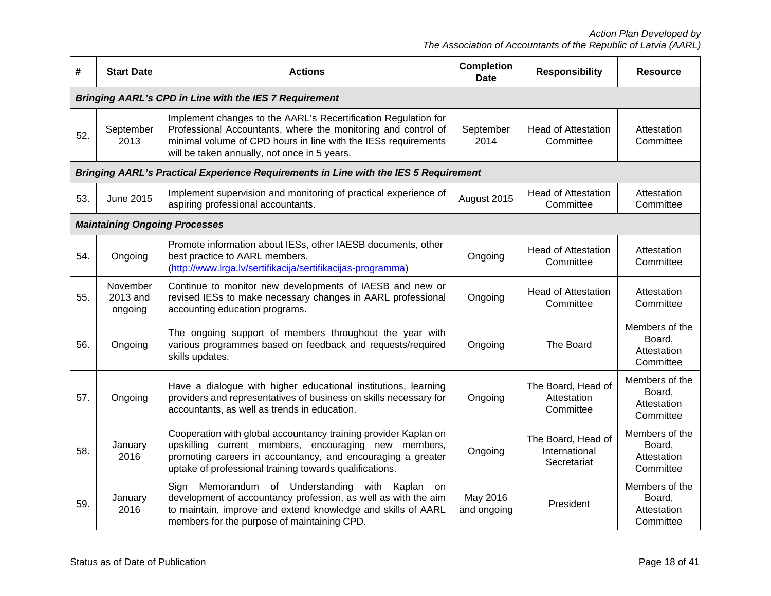| #   | <b>Start Date</b>                    | <b>Actions</b>                                                                                                                                                                                                                                    | <b>Completion</b><br><b>Date</b> | <b>Responsibility</b>                              | <b>Resource</b>                                      |
|-----|--------------------------------------|---------------------------------------------------------------------------------------------------------------------------------------------------------------------------------------------------------------------------------------------------|----------------------------------|----------------------------------------------------|------------------------------------------------------|
|     |                                      | <b>Bringing AARL's CPD in Line with the IES 7 Requirement</b>                                                                                                                                                                                     |                                  |                                                    |                                                      |
| 52. | September<br>2013                    | Implement changes to the AARL's Recertification Regulation for<br>Professional Accountants, where the monitoring and control of<br>minimal volume of CPD hours in line with the IESs requirements<br>will be taken annually, not once in 5 years. | September<br>2014                | <b>Head of Attestation</b><br>Committee            | Attestation<br>Committee                             |
|     |                                      | <b>Bringing AARL's Practical Experience Requirements in Line with the IES 5 Requirement</b>                                                                                                                                                       |                                  |                                                    |                                                      |
| 53. | June 2015                            | Implement supervision and monitoring of practical experience of<br>aspiring professional accountants.                                                                                                                                             | August 2015                      | <b>Head of Attestation</b><br>Committee            | Attestation<br>Committee                             |
|     | <b>Maintaining Ongoing Processes</b> |                                                                                                                                                                                                                                                   |                                  |                                                    |                                                      |
| 54. | Ongoing                              | Promote information about IESs, other IAESB documents, other<br>best practice to AARL members.<br>(http://www.lrga.lv/sertifikacija/sertifikacijas-programma)                                                                                     | Ongoing                          | <b>Head of Attestation</b><br>Committee            | Attestation<br>Committee                             |
| 55. | November<br>2013 and<br>ongoing      | Continue to monitor new developments of IAESB and new or<br>revised IESs to make necessary changes in AARL professional<br>accounting education programs.                                                                                         | Ongoing                          | <b>Head of Attestation</b><br>Committee            | Attestation<br>Committee                             |
| 56. | Ongoing                              | The ongoing support of members throughout the year with<br>various programmes based on feedback and requests/required<br>skills updates.                                                                                                          | Ongoing                          | The Board                                          | Members of the<br>Board,<br>Attestation<br>Committee |
| 57. | Ongoing                              | Have a dialogue with higher educational institutions, learning<br>providers and representatives of business on skills necessary for<br>accountants, as well as trends in education.                                                               | Ongoing                          | The Board, Head of<br>Attestation<br>Committee     | Members of the<br>Board,<br>Attestation<br>Committee |
| 58. | January<br>2016                      | Cooperation with global accountancy training provider Kaplan on<br>upskilling current members, encouraging new members,<br>promoting careers in accountancy, and encouraging a greater<br>uptake of professional training towards qualifications. | Ongoing                          | The Board, Head of<br>International<br>Secretariat | Members of the<br>Board,<br>Attestation<br>Committee |
| 59. | January<br>2016                      | Sign Memorandum of Understanding with Kaplan on<br>development of accountancy profession, as well as with the aim<br>to maintain, improve and extend knowledge and skills of AARL<br>members for the purpose of maintaining CPD.                  | May 2016<br>and ongoing          | President                                          | Members of the<br>Board,<br>Attestation<br>Committee |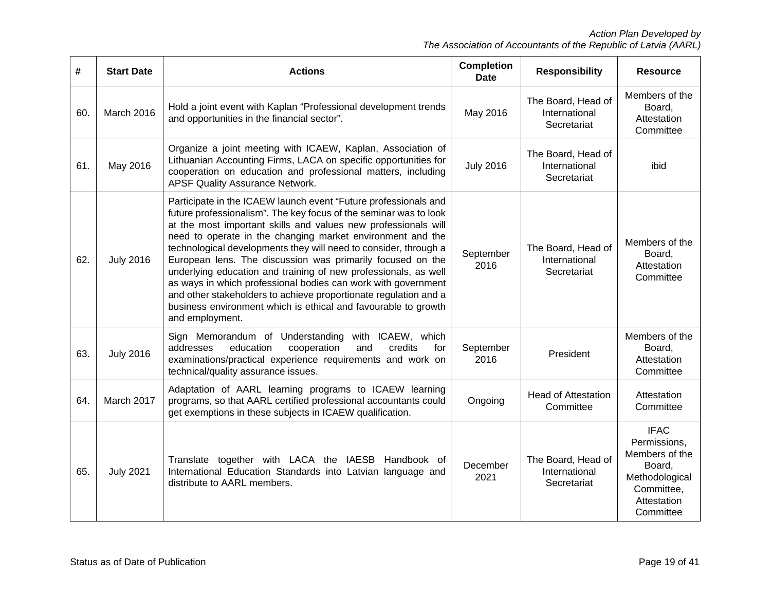| #   | <b>Start Date</b> | <b>Actions</b>                                                                                                                                                                                                                                                                                                                                                                                                                                                                                                                                                                                                                                                                                      | <b>Completion</b><br><b>Date</b> | <b>Responsibility</b>                              | <b>Resource</b>                                                                                                     |
|-----|-------------------|-----------------------------------------------------------------------------------------------------------------------------------------------------------------------------------------------------------------------------------------------------------------------------------------------------------------------------------------------------------------------------------------------------------------------------------------------------------------------------------------------------------------------------------------------------------------------------------------------------------------------------------------------------------------------------------------------------|----------------------------------|----------------------------------------------------|---------------------------------------------------------------------------------------------------------------------|
| 60. | March 2016        | Hold a joint event with Kaplan "Professional development trends<br>and opportunities in the financial sector".                                                                                                                                                                                                                                                                                                                                                                                                                                                                                                                                                                                      | May 2016                         | The Board, Head of<br>International<br>Secretariat | Members of the<br>Board,<br>Attestation<br>Committee                                                                |
| 61. | May 2016          | Organize a joint meeting with ICAEW, Kaplan, Association of<br>Lithuanian Accounting Firms, LACA on specific opportunities for<br>cooperation on education and professional matters, including<br>APSF Quality Assurance Network.                                                                                                                                                                                                                                                                                                                                                                                                                                                                   | <b>July 2016</b>                 | The Board, Head of<br>International<br>Secretariat | ibid                                                                                                                |
| 62. | <b>July 2016</b>  | Participate in the ICAEW launch event "Future professionals and<br>future professionalism". The key focus of the seminar was to look<br>at the most important skills and values new professionals will<br>need to operate in the changing market environment and the<br>technological developments they will need to consider, through a<br>European lens. The discussion was primarily focused on the<br>underlying education and training of new professionals, as well<br>as ways in which professional bodies can work with government<br>and other stakeholders to achieve proportionate regulation and a<br>business environment which is ethical and favourable to growth<br>and employment. | September<br>2016                | The Board, Head of<br>International<br>Secretariat | Members of the<br>Board,<br>Attestation<br>Committee                                                                |
| 63. | <b>July 2016</b>  | Sign Memorandum of Understanding with ICAEW, which<br>and<br>credits<br>addresses<br>education<br>cooperation<br>for<br>examinations/practical experience requirements and work on<br>technical/quality assurance issues.                                                                                                                                                                                                                                                                                                                                                                                                                                                                           | September<br>2016                | President                                          | Members of the<br>Board,<br>Attestation<br>Committee                                                                |
| 64. | March 2017        | Adaptation of AARL learning programs to ICAEW learning<br>programs, so that AARL certified professional accountants could<br>get exemptions in these subjects in ICAEW qualification.                                                                                                                                                                                                                                                                                                                                                                                                                                                                                                               | Ongoing                          | <b>Head of Attestation</b><br>Committee            | Attestation<br>Committee                                                                                            |
| 65. | <b>July 2021</b>  | Translate together with LACA the IAESB Handbook of<br>International Education Standards into Latvian language and<br>distribute to AARL members.                                                                                                                                                                                                                                                                                                                                                                                                                                                                                                                                                    | December<br>2021                 | The Board, Head of<br>International<br>Secretariat | <b>IFAC</b><br>Permissions,<br>Members of the<br>Board,<br>Methodological<br>Committee,<br>Attestation<br>Committee |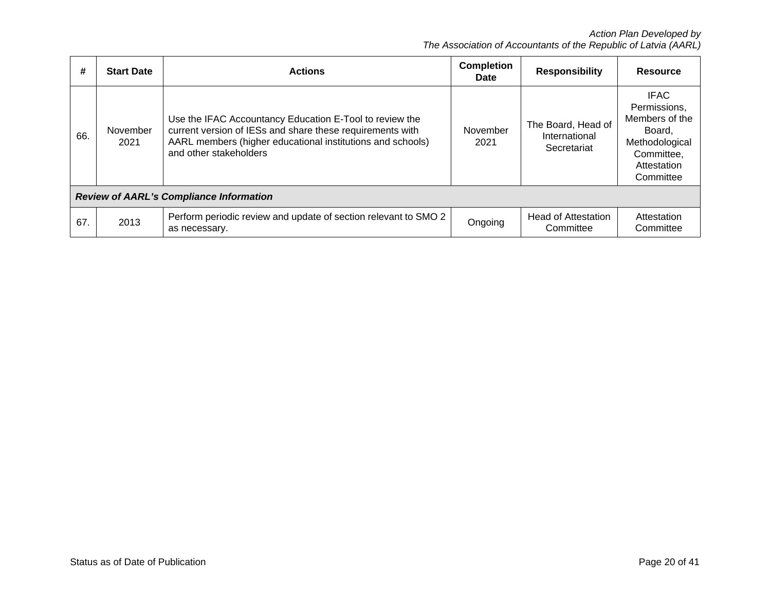| #                                              | <b>Start Date</b> | <b>Actions</b>                                                                                                                                                                                               | <b>Completion</b><br>Date | <b>Responsibility</b>                              | <b>Resource</b>                                                                                                     |  |
|------------------------------------------------|-------------------|--------------------------------------------------------------------------------------------------------------------------------------------------------------------------------------------------------------|---------------------------|----------------------------------------------------|---------------------------------------------------------------------------------------------------------------------|--|
| 66.                                            | November<br>2021  | Use the IFAC Accountancy Education E-Tool to review the<br>current version of IESs and share these requirements with<br>AARL members (higher educational institutions and schools)<br>and other stakeholders | November<br>2021          | The Board, Head of<br>International<br>Secretariat | <b>IFAC</b><br>Permissions,<br>Members of the<br>Board.<br>Methodological<br>Committee,<br>Attestation<br>Committee |  |
| <b>Review of AARL's Compliance Information</b> |                   |                                                                                                                                                                                                              |                           |                                                    |                                                                                                                     |  |
| 67.                                            | 2013              | Perform periodic review and update of section relevant to SMO 2<br>as necessary.                                                                                                                             | Ongoing                   | <b>Head of Attestation</b><br>Committee            | Attestation<br>Committee                                                                                            |  |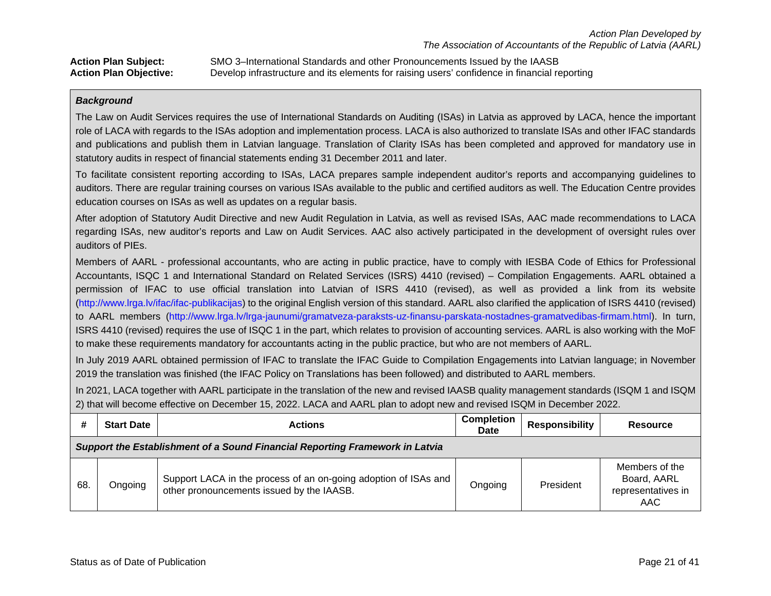**Action Plan Subject:** SMO 3–International Standards and other Pronouncements Issued by the IAASB **Action Plan Objective:** Develop infrastructure and its elements for raising users' confidence in financial reporting

### *Background*

The Law on Audit Services requires the use of International Standards on Auditing (ISAs) in Latvia as approved by LACA, hence the important role of LACA with regards to the ISAs adoption and implementation process. LACA is also authorized to translate ISAs and other IFAC standards and publications and publish them in Latvian language. Translation of Clarity ISAs has been completed and approved for mandatory use in statutory audits in respect of financial statements ending 31 December 2011 and later.

To facilitate consistent reporting according to ISAs, LACA prepares sample independent auditor's reports and accompanying guidelines to auditors. There are regular training courses on various ISAs available to the public and certified auditors as well. The Education Centre provides education courses on ISAs as well as updates on a regular basis.

After adoption of Statutory Audit Directive and new Audit Regulation in Latvia, as well as revised ISAs, AAC made recommendations to LACA regarding ISAs, new auditor's reports and Law on Audit Services. AAC also actively participated in the development of oversight rules over auditors of PIEs.

Members of AARL - professional accountants, who are acting in public practice, have to comply with IESBA Code of Ethics for Professional Accountants, ISQC 1 and International Standard on Related Services (ISRS) 4410 (revised) – Compilation Engagements. AARL obtained a permission of IFAC to use official translation into Latvian of ISRS 4410 (revised), as well as provided a link from its website [\(http://www.lrga.lv/ifac/ifac-publikacijas\)](http://www.lrga.lv/ifac/ifac-publikacijas) to the original English version of this standard. AARL also clarified the application of ISRS 4410 (revised) to AARL members [\(http://www.lrga.lv/lrga-jaunumi/gramatveza-paraksts-uz-finansu-parskata-nostadnes-gramatvedibas-firmam.html\)](http://www.lrga.lv/lrga-jaunumi/gramatveza-paraksts-uz-finansu-parskata-nostadnes-gramatvedibas-firmam.html). In turn, ISRS 4410 (revised) requires the use of ISQC 1 in the part, which relates to provision of accounting services. AARL is also working with the MoF to make these requirements mandatory for accountants acting in the public practice, but who are not members of AARL.

In July 2019 AARL obtained permission of IFAC to translate the IFAC Guide to Compilation Engagements into Latvian language; in November 2019 the translation was finished (the IFAC Policy on Translations has been followed) and distributed to AARL members.

In 2021, LACA together with AARL participate in the translation of the new and revised IAASB quality management standards (ISQM 1 and ISQM 2) that will become effective on December 15, 2022. LACA and AARL plan to adopt new and revised ISQM in December 2022.

|     | <b>Start Date</b>                                                            | <b>Actions</b>                                                                                               | <b>Completion</b><br><b>Date</b> | Responsibility | <b>Resource</b>                                            |  |  |  |
|-----|------------------------------------------------------------------------------|--------------------------------------------------------------------------------------------------------------|----------------------------------|----------------|------------------------------------------------------------|--|--|--|
|     | Support the Establishment of a Sound Financial Reporting Framework in Latvia |                                                                                                              |                                  |                |                                                            |  |  |  |
| 68. | Ongoing                                                                      | Support LACA in the process of an on-going adoption of ISAs and<br>other pronouncements issued by the IAASB. | Ongoing                          | President      | Members of the<br>Board, AARL<br>representatives in<br>AAC |  |  |  |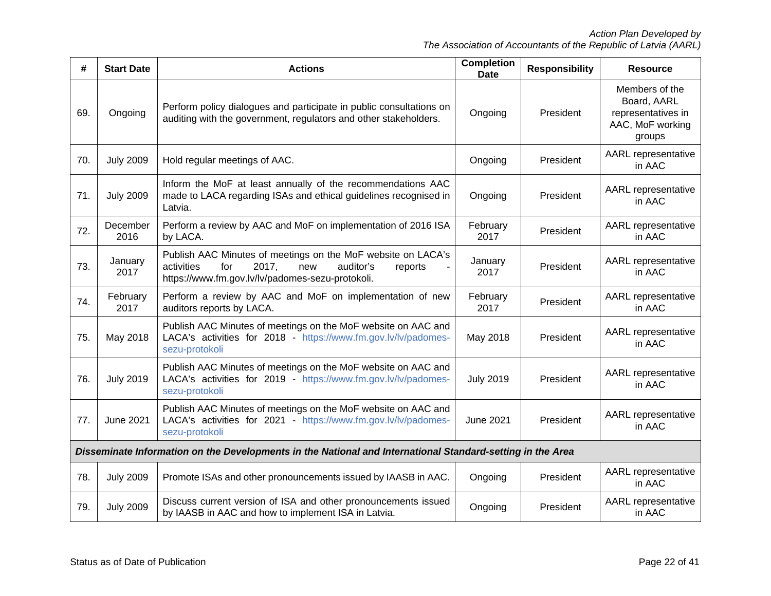| #   | <b>Start Date</b>                                                                                          | <b>Actions</b>                                                                                                                                                                | <b>Completion</b><br><b>Date</b> | <b>Responsibility</b> | <b>Resource</b>                                                                   |  |
|-----|------------------------------------------------------------------------------------------------------------|-------------------------------------------------------------------------------------------------------------------------------------------------------------------------------|----------------------------------|-----------------------|-----------------------------------------------------------------------------------|--|
| 69. | Ongoing                                                                                                    | Perform policy dialogues and participate in public consultations on<br>auditing with the government, regulators and other stakeholders.                                       | Ongoing                          | President             | Members of the<br>Board, AARL<br>representatives in<br>AAC, MoF working<br>groups |  |
| 70. | <b>July 2009</b>                                                                                           | Hold regular meetings of AAC.                                                                                                                                                 | Ongoing                          | President             | <b>AARL</b> representative<br>in AAC                                              |  |
| 71. | <b>July 2009</b>                                                                                           | Inform the MoF at least annually of the recommendations AAC<br>made to LACA regarding ISAs and ethical guidelines recognised in<br>Latvia.                                    | Ongoing                          | President             | <b>AARL</b> representative<br>in AAC                                              |  |
| 72. | December<br>2016                                                                                           | Perform a review by AAC and MoF on implementation of 2016 ISA<br>by LACA.                                                                                                     | February<br>2017                 | President             | <b>AARL</b> representative<br>in AAC                                              |  |
| 73. | January<br>2017                                                                                            | Publish AAC Minutes of meetings on the MoF website on LACA's<br>2017,<br>activities<br>for<br>new<br>auditor's<br>reports<br>https://www.fm.gov.lv/lv/padomes-sezu-protokoli. | January<br>2017                  | President             | AARL representative<br>in AAC                                                     |  |
| 74. | February<br>2017                                                                                           | Perform a review by AAC and MoF on implementation of new<br>auditors reports by LACA.                                                                                         | February<br>2017                 | President             | AARL representative<br>in AAC                                                     |  |
| 75. | May 2018                                                                                                   | Publish AAC Minutes of meetings on the MoF website on AAC and<br>LACA's activities for 2018 - https://www.fm.gov.lv/lv/padomes-<br>sezu-protokoli                             | May 2018                         | President             | <b>AARL</b> representative<br>in AAC                                              |  |
| 76. | <b>July 2019</b>                                                                                           | Publish AAC Minutes of meetings on the MoF website on AAC and<br>LACA's activities for 2019 - https://www.fm.gov.lv/lv/padomes-<br>sezu-protokoli                             | <b>July 2019</b>                 | President             | AARL representative<br>in AAC                                                     |  |
| 77. | <b>June 2021</b>                                                                                           | Publish AAC Minutes of meetings on the MoF website on AAC and<br>LACA's activities for 2021 - https://www.fm.gov.lv/lv/padomes-<br>sezu-protokoli                             | <b>June 2021</b>                 | President             | <b>AARL</b> representative<br>in AAC                                              |  |
|     | Disseminate Information on the Developments in the National and International Standard-setting in the Area |                                                                                                                                                                               |                                  |                       |                                                                                   |  |
| 78. | <b>July 2009</b>                                                                                           | Promote ISAs and other pronouncements issued by IAASB in AAC.                                                                                                                 | Ongoing                          | President             | AARL representative<br>in AAC                                                     |  |
| 79. | <b>July 2009</b>                                                                                           | Discuss current version of ISA and other pronouncements issued<br>by IAASB in AAC and how to implement ISA in Latvia.                                                         | Ongoing                          | President             | AARL representative<br>in AAC                                                     |  |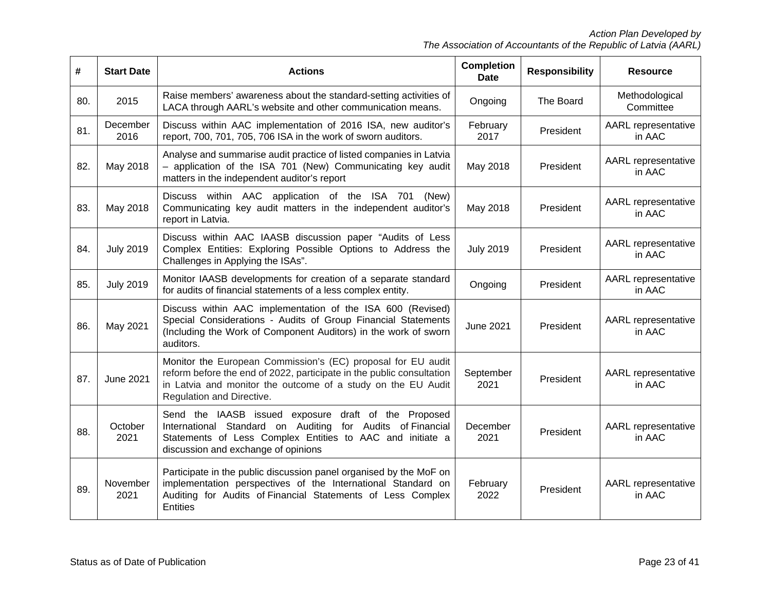| #   | <b>Start Date</b> | <b>Actions</b>                                                                                                                                                                                                                     | <b>Completion</b><br><b>Date</b> | <b>Responsibility</b> | <b>Resource</b>                      |
|-----|-------------------|------------------------------------------------------------------------------------------------------------------------------------------------------------------------------------------------------------------------------------|----------------------------------|-----------------------|--------------------------------------|
| 80. | 2015              | Raise members' awareness about the standard-setting activities of<br>LACA through AARL's website and other communication means.                                                                                                    | Ongoing                          | The Board             | Methodological<br>Committee          |
| 81. | December<br>2016  | Discuss within AAC implementation of 2016 ISA, new auditor's<br>report, 700, 701, 705, 706 ISA in the work of sworn auditors.                                                                                                      | February<br>2017                 | President             | AARL representative<br>in AAC        |
| 82. | May 2018          | Analyse and summarise audit practice of listed companies in Latvia<br>- application of the ISA 701 (New) Communicating key audit<br>matters in the independent auditor's report                                                    | May 2018                         | President             | AARL representative<br>in AAC        |
| 83. | May 2018          | Discuss within AAC application of the ISA 701<br>(New)<br>Communicating key audit matters in the independent auditor's<br>report in Latvia.                                                                                        | May 2018                         | President             | AARL representative<br>in AAC        |
| 84. | <b>July 2019</b>  | Discuss within AAC IAASB discussion paper "Audits of Less<br>Complex Entities: Exploring Possible Options to Address the<br>Challenges in Applying the ISAs".                                                                      | <b>July 2019</b><br>President    |                       | AARL representative<br>in AAC        |
| 85. | <b>July 2019</b>  | Monitor IAASB developments for creation of a separate standard<br>for audits of financial statements of a less complex entity.                                                                                                     | Ongoing                          | President             | <b>AARL</b> representative<br>in AAC |
| 86. | May 2021          | Discuss within AAC implementation of the ISA 600 (Revised)<br>Special Considerations - Audits of Group Financial Statements<br>(Including the Work of Component Auditors) in the work of sworn<br>auditors.                        | <b>June 2021</b>                 | President             | AARL representative<br>in AAC        |
| 87. | <b>June 2021</b>  | Monitor the European Commission's (EC) proposal for EU audit<br>reform before the end of 2022, participate in the public consultation<br>in Latvia and monitor the outcome of a study on the EU Audit<br>Regulation and Directive. | September<br>2021                | President             | AARL representative<br>in AAC        |
| 88. | October<br>2021   | Send the IAASB issued exposure draft of the Proposed<br>International Standard on Auditing for Audits of Financial<br>Statements of Less Complex Entities to AAC and initiate a<br>discussion and exchange of opinions             | December<br>2021                 | President             | AARL representative<br>in AAC        |
| 89. | November<br>2021  | Participate in the public discussion panel organised by the MoF on<br>implementation perspectives of the International Standard on<br>Auditing for Audits of Financial Statements of Less Complex<br><b>Entities</b>               | February<br>2022                 | President             | AARL representative<br>in AAC        |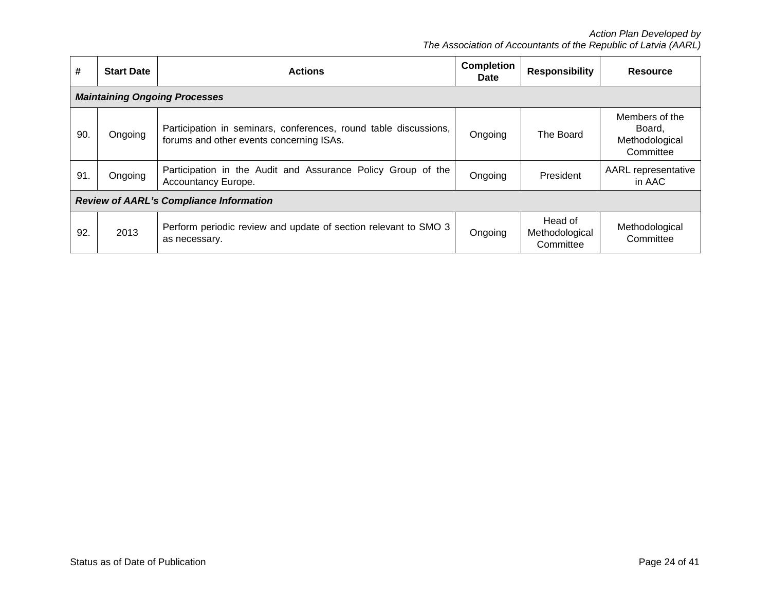| #                                              | <b>Start Date</b> | <b>Completion</b><br><b>Actions</b>                                                                          |         | <b>Responsibility</b>                  | <b>Resource</b>                                         |  |
|------------------------------------------------|-------------------|--------------------------------------------------------------------------------------------------------------|---------|----------------------------------------|---------------------------------------------------------|--|
|                                                |                   | <b>Maintaining Ongoing Processes</b>                                                                         |         |                                        |                                                         |  |
| 90                                             | Ongoing           | Participation in seminars, conferences, round table discussions,<br>forums and other events concerning ISAs. | Ongoing | The Board                              | Members of the<br>Board,<br>Methodological<br>Committee |  |
| 91.                                            | Ongoing           | Participation in the Audit and Assurance Policy Group of the<br>Accountancy Europe.                          | Ongoing | <b>President</b>                       | <b>AARL</b> representative<br>in AAC                    |  |
| <b>Review of AARL's Compliance Information</b> |                   |                                                                                                              |         |                                        |                                                         |  |
| 92                                             | 2013              | Perform periodic review and update of section relevant to SMO 3<br>as necessary.                             | Ongoing | Head of<br>Methodological<br>Committee | Methodological<br>Committee                             |  |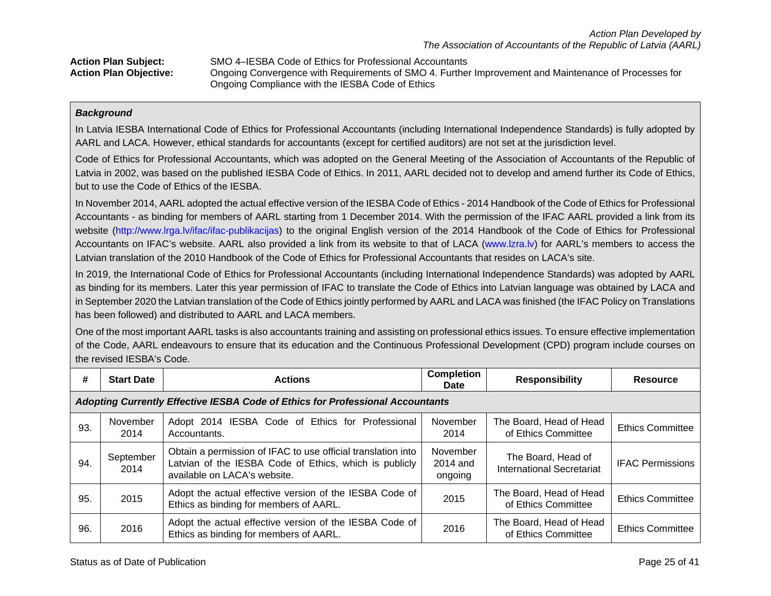| <b>Action Plan Subject:</b>   | SMO 4–IESBA Code of Ethics for Professional Accountants                                              |
|-------------------------------|------------------------------------------------------------------------------------------------------|
| <b>Action Plan Objective:</b> | Ongoing Convergence with Requirements of SMO 4. Further Improvement and Maintenance of Processes for |
|                               | Ongoing Compliance with the IESBA Code of Ethics                                                     |

### *Background*

In Latvia IESBA International Code of Ethics for Professional Accountants (including International Independence Standards) is fully adopted by AARL and LACA. However, ethical standards for accountants (except for certified auditors) are not set at the jurisdiction level.

Code of Ethics for Professional Accountants, which was adopted on the General Meeting of the Association of Accountants of the Republic of Latvia in 2002, was based on the published IESBA Code of Ethics. In 2011, AARL decided not to develop and amend further its Code of Ethics, but to use the Code of Ethics of the IESBA.

In November 2014, AARL adopted the actual effective version of the IESBA Code of Ethics - 2014 Handbook of the Code of Ethics for Professional Accountants - as binding for members of AARL starting from 1 December 2014. With the permission of the IFAC AARL provided a link from its website [\(http://www.lrga.lv/ifac/ifac-publikacijas\)](http://www.lrga.lv/ifac/ifac-publikacijas) to the original English version of the 2014 Handbook of the Code of Ethics for Professional Accountants on IFAC's website. AARL also provided a link from its website to that of LACA [\(www.lzra.lv\)](http://www.lzra.lv/) for AARL's members to access the Latvian translation of the 2010 Handbook of the Code of Ethics for Professional Accountants that resides on LACA's site.

In 2019, the International Code of Ethics for Professional Accountants (including International Independence Standards) was adopted by AARL as binding for its members. Later this year permission of IFAC to translate the Code of Ethics into Latvian language was obtained by LACA and in September 2020 the Latvian translation of the Code of Ethics jointly performed by AARL and LACA was finished (the IFAC Policy on Translations has been followed) and distributed to AARL and LACA members.

One of the most important AARL tasks is also accountants training and assisting on professional ethics issues. To ensure effective implementation of the Code, AARL endeavours to ensure that its education and the Continuous Professional Development (CPD) program include courses on the revised IESBA's Code.

| #   | <b>Start Date</b>                                                                     | <b>Actions</b>                                                                                                                                         | <b>Completion</b><br><b>Date</b> | <b>Responsibility</b>                                  | <b>Resource</b>         |  |  |  |
|-----|---------------------------------------------------------------------------------------|--------------------------------------------------------------------------------------------------------------------------------------------------------|----------------------------------|--------------------------------------------------------|-------------------------|--|--|--|
|     | <b>Adopting Currently Effective IESBA Code of Ethics for Professional Accountants</b> |                                                                                                                                                        |                                  |                                                        |                         |  |  |  |
| 93. | November<br>2014                                                                      | Adopt 2014 IESBA Code of Ethics for Professional<br>Accountants.                                                                                       | November<br>2014                 | The Board, Head of Head<br>of Ethics Committee         | <b>Ethics Committee</b> |  |  |  |
| 94. | September<br>2014                                                                     | Obtain a permission of IFAC to use official translation into<br>Latvian of the IESBA Code of Ethics, which is publicly<br>available on LACA's website. | November<br>2014 and<br>ongoing  | The Board, Head of<br><b>International Secretariat</b> | <b>IFAC Permissions</b> |  |  |  |
| 95. | 2015                                                                                  | Adopt the actual effective version of the IESBA Code of<br>Ethics as binding for members of AARL.                                                      | 2015                             | The Board, Head of Head<br>of Ethics Committee         | <b>Ethics Committee</b> |  |  |  |
| 96. | 2016                                                                                  | Adopt the actual effective version of the IESBA Code of<br>Ethics as binding for members of AARL.                                                      | 2016                             | The Board, Head of Head<br>of Ethics Committee         | <b>Ethics Committee</b> |  |  |  |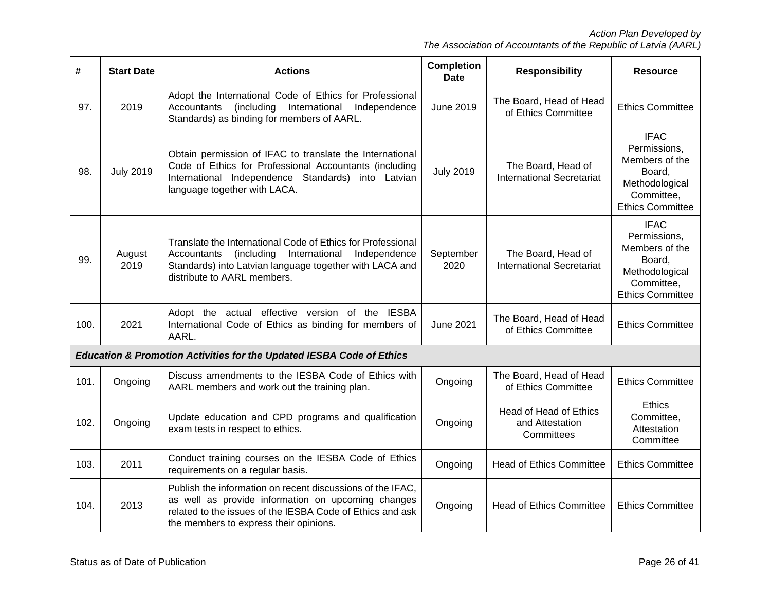| #    | <b>Start Date</b> | <b>Actions</b>                                                                                                                                                                                                          | <b>Completion</b><br><b>Date</b> | <b>Responsibility</b>                                   | <b>Resource</b>                                                                                                    |
|------|-------------------|-------------------------------------------------------------------------------------------------------------------------------------------------------------------------------------------------------------------------|----------------------------------|---------------------------------------------------------|--------------------------------------------------------------------------------------------------------------------|
| 97.  | 2019              | Adopt the International Code of Ethics for Professional<br>International<br>Accountants<br>(including<br>Independence<br>Standards) as binding for members of AARL.                                                     | June 2019                        | The Board, Head of Head<br>of Ethics Committee          | <b>Ethics Committee</b>                                                                                            |
| 98.  | <b>July 2019</b>  | Obtain permission of IFAC to translate the International<br>Code of Ethics for Professional Accountants (including<br>International Independence Standards) into Latvian<br>language together with LACA.                | <b>July 2019</b>                 | The Board, Head of<br><b>International Secretariat</b>  | <b>IFAC</b><br>Permissions,<br>Members of the<br>Board,<br>Methodological<br>Committee,<br><b>Ethics Committee</b> |
| 99.  | August<br>2019    | Translate the International Code of Ethics for Professional<br>(including<br>International Independence<br>Accountants<br>Standards) into Latvian language together with LACA and<br>distribute to AARL members.        | September<br>2020                | The Board, Head of<br><b>International Secretariat</b>  | <b>IFAC</b><br>Permissions,<br>Members of the<br>Board,<br>Methodological<br>Committee,<br><b>Ethics Committee</b> |
| 100. | 2021              | Adopt the actual effective version of the IESBA<br>International Code of Ethics as binding for members of<br>AARL.                                                                                                      | <b>June 2021</b>                 | The Board, Head of Head<br>of Ethics Committee          | <b>Ethics Committee</b>                                                                                            |
|      |                   | <b>Education &amp; Promotion Activities for the Updated IESBA Code of Ethics</b>                                                                                                                                        |                                  |                                                         |                                                                                                                    |
| 101. | Ongoing           | Discuss amendments to the IESBA Code of Ethics with<br>AARL members and work out the training plan.                                                                                                                     | Ongoing                          | The Board, Head of Head<br>of Ethics Committee          | <b>Ethics Committee</b>                                                                                            |
| 102. | Ongoing           | Update education and CPD programs and qualification<br>exam tests in respect to ethics.                                                                                                                                 | Ongoing                          | Head of Head of Ethics<br>and Attestation<br>Committees | <b>Ethics</b><br>Committee,<br>Attestation<br>Committee                                                            |
| 103. | 2011              | Conduct training courses on the IESBA Code of Ethics<br>requirements on a regular basis.                                                                                                                                | Ongoing                          | <b>Head of Ethics Committee</b>                         | <b>Ethics Committee</b>                                                                                            |
| 104. | 2013              | Publish the information on recent discussions of the IFAC,<br>as well as provide information on upcoming changes<br>related to the issues of the IESBA Code of Ethics and ask<br>the members to express their opinions. | Ongoing                          | <b>Head of Ethics Committee</b>                         | <b>Ethics Committee</b>                                                                                            |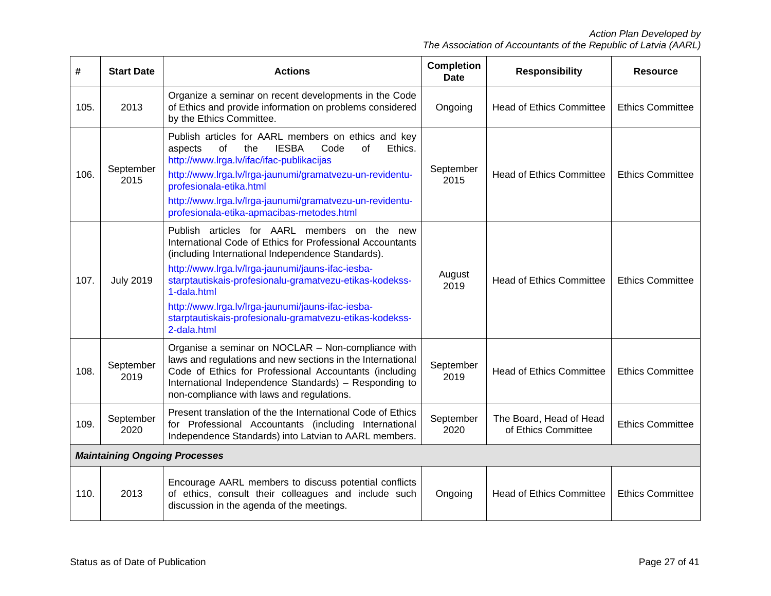| #                                    | <b>Start Date</b>                                                                                                                                                                                  | <b>Actions</b>                                                                                                                                                                                                                                                                                                                                                                                                               | <b>Completion</b><br><b>Date</b> | <b>Responsibility</b>                          | <b>Resource</b>         |
|--------------------------------------|----------------------------------------------------------------------------------------------------------------------------------------------------------------------------------------------------|------------------------------------------------------------------------------------------------------------------------------------------------------------------------------------------------------------------------------------------------------------------------------------------------------------------------------------------------------------------------------------------------------------------------------|----------------------------------|------------------------------------------------|-------------------------|
| 105.                                 | 2013                                                                                                                                                                                               | Organize a seminar on recent developments in the Code<br>of Ethics and provide information on problems considered<br>by the Ethics Committee.                                                                                                                                                                                                                                                                                | Ongoing                          | <b>Head of Ethics Committee</b>                | <b>Ethics Committee</b> |
| 106.                                 | September<br>2015                                                                                                                                                                                  | Publish articles for AARL members on ethics and key<br>Ethics.<br>of<br>the<br><b>IESBA</b><br>of<br>aspects<br>Code<br>http://www.lrga.lv/ifac/ifac-publikacijas<br>http://www.lrga.lv/lrga-jaunumi/gramatvezu-un-revidentu-<br>profesionala-etika.html<br>http://www.lrga.lv/lrga-jaunumi/gramatvezu-un-revidentu-<br>profesionala-etika-apmacibas-metodes.html                                                            | September<br>2015                | <b>Head of Ethics Committee</b>                | <b>Ethics Committee</b> |
| 107.                                 | <b>July 2019</b>                                                                                                                                                                                   | Publish articles for AARL members on the new<br>International Code of Ethics for Professional Accountants<br>(including International Independence Standards).<br>http://www.lrga.lv/lrga-jaunumi/jauns-ifac-iesba-<br>starptautiskais-profesionalu-gramatvezu-etikas-kodekss-<br>1-dala.html<br>http://www.lrga.lv/lrga-jaunumi/jauns-ifac-iesba-<br>starptautiskais-profesionalu-gramatvezu-etikas-kodekss-<br>2-dala.html | August<br>2019                   | <b>Head of Ethics Committee</b>                | <b>Ethics Committee</b> |
| 108.                                 | September<br>2019                                                                                                                                                                                  | Organise a seminar on NOCLAR - Non-compliance with<br>laws and regulations and new sections in the International<br>Code of Ethics for Professional Accountants (including<br>International Independence Standards) - Responding to<br>non-compliance with laws and regulations.                                                                                                                                             | September<br>2019                | <b>Head of Ethics Committee</b>                | <b>Ethics Committee</b> |
| 109.                                 | Present translation of the the International Code of Ethics<br>September<br>for Professional Accountants (including International<br>2020<br>Independence Standards) into Latvian to AARL members. |                                                                                                                                                                                                                                                                                                                                                                                                                              | September<br>2020                | The Board, Head of Head<br>of Ethics Committee | <b>Ethics Committee</b> |
| <b>Maintaining Ongoing Processes</b> |                                                                                                                                                                                                    |                                                                                                                                                                                                                                                                                                                                                                                                                              |                                  |                                                |                         |
| 110.                                 | 2013                                                                                                                                                                                               | Encourage AARL members to discuss potential conflicts<br>of ethics, consult their colleagues and include such<br>discussion in the agenda of the meetings.                                                                                                                                                                                                                                                                   | Ongoing                          | <b>Head of Ethics Committee</b>                | <b>Ethics Committee</b> |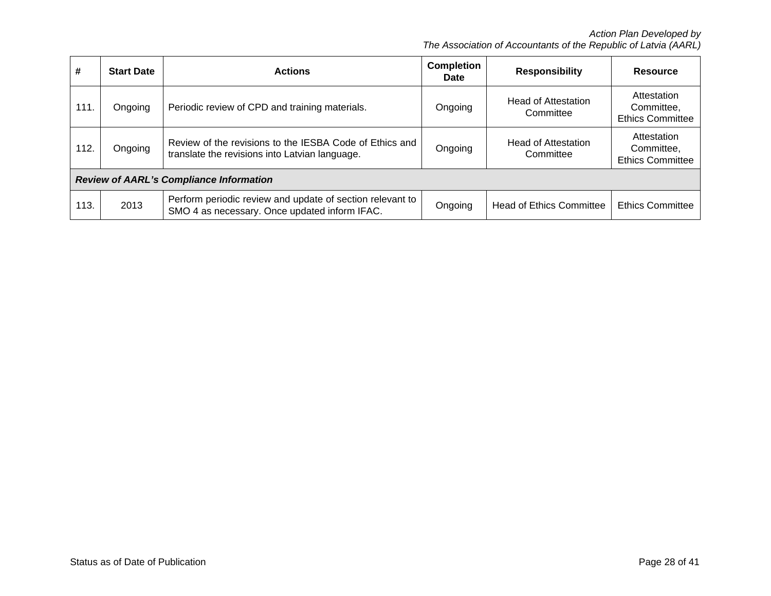| #                                              | <b>Start Date</b> | <b>Actions</b>                                                                                             | <b>Completion</b><br><b>Date</b> | <b>Responsibility</b>                   | <b>Resource</b>                                      |  |  |  |
|------------------------------------------------|-------------------|------------------------------------------------------------------------------------------------------------|----------------------------------|-----------------------------------------|------------------------------------------------------|--|--|--|
| 111.                                           | Ongoing           | Periodic review of CPD and training materials.                                                             | Ongoing                          | <b>Head of Attestation</b><br>Committee | Attestation<br>Committee.<br><b>Ethics Committee</b> |  |  |  |
| 112.                                           | Ongoing           | Review of the revisions to the IESBA Code of Ethics and<br>translate the revisions into Latvian language.  | Ongoing                          | <b>Head of Attestation</b><br>Committee | Attestation<br>Committee,<br><b>Ethics Committee</b> |  |  |  |
| <b>Review of AARL's Compliance Information</b> |                   |                                                                                                            |                                  |                                         |                                                      |  |  |  |
| 113.                                           | 2013              | Perform periodic review and update of section relevant to<br>SMO 4 as necessary. Once updated inform IFAC. | Ongoing                          | <b>Head of Ethics Committee</b>         | <b>Ethics Committee</b>                              |  |  |  |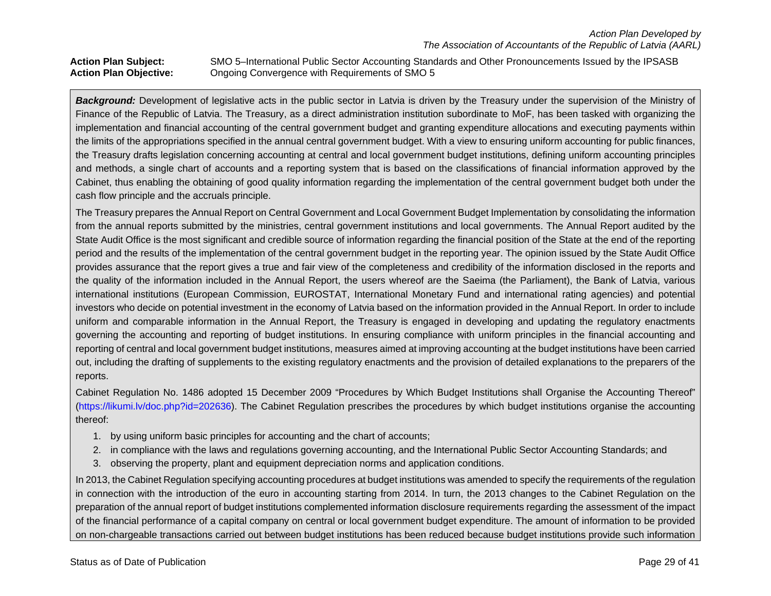Action Plan Subject: SMO 5–International Public Sector Accounting Standards and Other Pronouncements Issued by the IPSASB<br>Action Plan Objective: Ongoing Convergence with Requirements of SMO 5 **Action Plan Objective:** Ongoing Convergence with Requirements of SMO 5

**Background:** Development of legislative acts in the public sector in Latvia is driven by the Treasury under the supervision of the Ministry of Finance of the Republic of Latvia. The Treasury, as a direct administration institution subordinate to MoF, has been tasked with organizing the implementation and financial accounting of the central government budget and granting expenditure allocations and executing payments within the limits of the appropriations specified in the annual central government budget. With a view to ensuring uniform accounting for public finances, the Treasury drafts legislation concerning accounting at central and local government budget institutions, defining uniform accounting principles and methods, a single chart of accounts and a reporting system that is based on the classifications of financial information approved by the Cabinet, thus enabling the obtaining of good quality information regarding the implementation of the central government budget both under the cash flow principle and the accruals principle.

The Treasury prepares the Annual Report on Central Government and Local Government Budget Implementation by consolidating the information from the annual reports submitted by the ministries, central government institutions and local governments. The Annual Report audited by the State Audit Office is the most significant and credible source of information regarding the financial position of the State at the end of the reporting period and the results of the implementation of the central government budget in the reporting year. The opinion issued by the State Audit Office provides assurance that the report gives a true and fair view of the completeness and credibility of the information disclosed in the reports and the quality of the information included in the Annual Report, the users whereof are the Saeima (the Parliament), the Bank of Latvia, various international institutions (European Commission, EUROSTAT, International Monetary Fund and international rating agencies) and potential investors who decide on potential investment in the economy of Latvia based on the information provided in the Annual Report. In order to include uniform and comparable information in the Annual Report, the Treasury is engaged in developing and updating the regulatory enactments governing the accounting and reporting of budget institutions. In ensuring compliance with uniform principles in the financial accounting and reporting of central and local government budget institutions, measures aimed at improving accounting at the budget institutions have been carried out, including the drafting of supplements to the existing regulatory enactments and the provision of detailed explanations to the preparers of the reports.

Cabinet Regulation No. 1486 adopted 15 December 2009 "Procedures by Which Budget Institutions shall Organise the Accounting Thereof" [\(https://likumi.lv/doc.php?id=202636\)](https://likumi.lv/doc.php?id=202636). The Cabinet Regulation prescribes the procedures by which budget institutions organise the accounting thereof:

- 1. by using uniform basic principles for accounting and the chart of accounts;
- 2. in compliance with the laws and regulations governing accounting, and the International Public Sector Accounting Standards; and
- 3. observing the property, plant and equipment depreciation norms and application conditions.

In 2013, the Cabinet Regulation specifying accounting procedures at budget institutions was amended to specify the requirements of the regulation in connection with the introduction of the euro in accounting starting from 2014. In turn, the 2013 changes to the Cabinet Regulation on the preparation of the annual report of budget institutions complemented information disclosure requirements regarding the assessment of the impact of the financial performance of a capital company on central or local government budget expenditure. The amount of information to be provided on non-chargeable transactions carried out between budget institutions has been reduced because budget institutions provide such information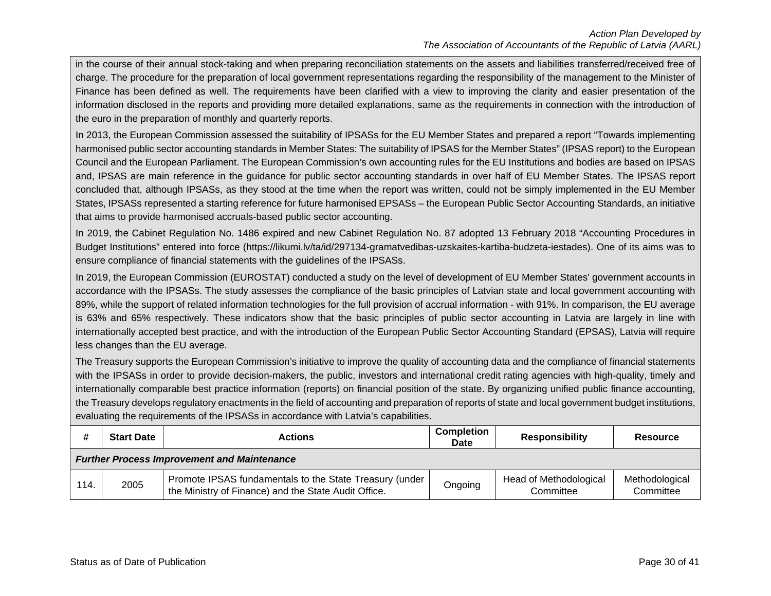in the course of their annual stock-taking and when preparing reconciliation statements on the assets and liabilities transferred/received free of charge. The procedure for the preparation of local government representations regarding the responsibility of the management to the Minister of Finance has been defined as well. The requirements have been clarified with a view to improving the clarity and easier presentation of the information disclosed in the reports and providing more detailed explanations, same as the requirements in connection with the introduction of the euro in the preparation of monthly and quarterly reports.

In 2013, the European Commission assessed the suitability of IPSASs for the EU Member States and prepared a report "Towards implementing harmonised public sector accounting standards in Member States: The suitability of IPSAS for the Member States" (IPSAS report) to the European Council and the European Parliament. The European Commission's own accounting rules for the EU Institutions and bodies are based on IPSAS and, IPSAS are main reference in the guidance for public sector accounting standards in over half of EU Member States. The IPSAS report concluded that, although IPSASs, as they stood at the time when the report was written, could not be simply implemented in the EU Member States, IPSASs represented a starting reference for future harmonised EPSASs – the European Public Sector Accounting Standards, an initiative that aims to provide harmonised accruals-based public sector accounting.

In 2019, the Cabinet Regulation No. 1486 expired and new Cabinet Regulation No. 87 adopted 13 February 2018 "Accounting Procedures in Budget Institutions" entered into force (https://likumi.lv/ta/id/297134-gramatvedibas-uzskaites-kartiba-budzeta-iestades). One of its aims was to ensure compliance of financial statements with the guidelines of the IPSASs.

In 2019, the European Commission (EUROSTAT) conducted a study on the level of development of EU Member States' government accounts in accordance with the IPSASs. The study assesses the compliance of the basic principles of Latvian state and local government accounting with 89%, while the support of related information technologies for the full provision of accrual information - with 91%. In comparison, the EU average is 63% and 65% respectively. These indicators show that the basic principles of public sector accounting in Latvia are largely in line with internationally accepted best practice, and with the introduction of the European Public Sector Accounting Standard (EPSAS), Latvia will require less changes than the EU average.

The Treasury supports the European Commission's initiative to improve the quality of accounting data and the compliance of financial statements with the IPSASs in order to provide decision-makers, the public, investors and international credit rating agencies with high-quality, timely and internationally comparable best practice information (reports) on financial position of the state. By organizing unified public finance accounting, the Treasury develops regulatory enactments in the field of accounting and preparation of reports of state and local government budget institutions, evaluating the requirements of the IPSASs in accordance with Latvia's capabilities.

|      | <b>Start Date</b>                                  | <b>Actions</b>                                                                                                  | <b>Completion</b><br>Date | <b>Responsibility</b>               | <b>Resource</b>             |  |  |  |
|------|----------------------------------------------------|-----------------------------------------------------------------------------------------------------------------|---------------------------|-------------------------------------|-----------------------------|--|--|--|
|      | <b>Further Process Improvement and Maintenance</b> |                                                                                                                 |                           |                                     |                             |  |  |  |
| 114. | 2005                                               | Promote IPSAS fundamentals to the State Treasury (under<br>the Ministry of Finance) and the State Audit Office. | Ongoing                   | Head of Methodological<br>Committee | Methodological<br>Committee |  |  |  |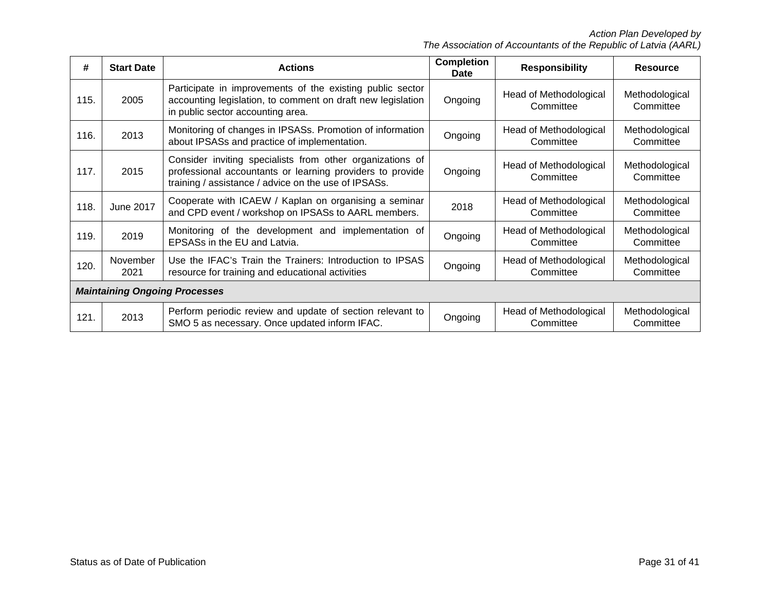| #    | <b>Start Date</b>                    | <b>Actions</b>                                                                                                                                                                 | <b>Completion</b><br>Date | <b>Responsibility</b>               | <b>Resource</b>             |  |  |  |
|------|--------------------------------------|--------------------------------------------------------------------------------------------------------------------------------------------------------------------------------|---------------------------|-------------------------------------|-----------------------------|--|--|--|
| 115. | 2005                                 | Participate in improvements of the existing public sector<br>accounting legislation, to comment on draft new legislation<br>in public sector accounting area.                  | Ongoing                   | Head of Methodological<br>Committee | Methodological<br>Committee |  |  |  |
| 116. | 2013                                 | Monitoring of changes in IPSASs. Promotion of information<br>about IPSASs and practice of implementation.                                                                      | Ongoing                   | Head of Methodological<br>Committee | Methodological<br>Committee |  |  |  |
| 117. | 2015                                 | Consider inviting specialists from other organizations of<br>professional accountants or learning providers to provide<br>training / assistance / advice on the use of IPSASs. | Ongoing                   | Head of Methodological<br>Committee | Methodological<br>Committee |  |  |  |
| 118. | June 2017                            | Cooperate with ICAEW / Kaplan on organising a seminar<br>and CPD event / workshop on IPSASs to AARL members.                                                                   | 2018                      | Head of Methodological<br>Committee | Methodological<br>Committee |  |  |  |
| 119. | 2019                                 | Monitoring of the development and implementation of<br>EPSASs in the EU and Latvia.                                                                                            | Ongoing                   | Head of Methodological<br>Committee | Methodological<br>Committee |  |  |  |
| 120. | November<br>2021                     | Use the IFAC's Train the Trainers: Introduction to IPSAS<br>resource for training and educational activities                                                                   | Ongoing                   | Head of Methodological<br>Committee | Methodological<br>Committee |  |  |  |
|      | <b>Maintaining Ongoing Processes</b> |                                                                                                                                                                                |                           |                                     |                             |  |  |  |
| 121. | 2013                                 | Perform periodic review and update of section relevant to<br>SMO 5 as necessary. Once updated inform IFAC.                                                                     | Ongoing                   | Head of Methodological<br>Committee | Methodological<br>Committee |  |  |  |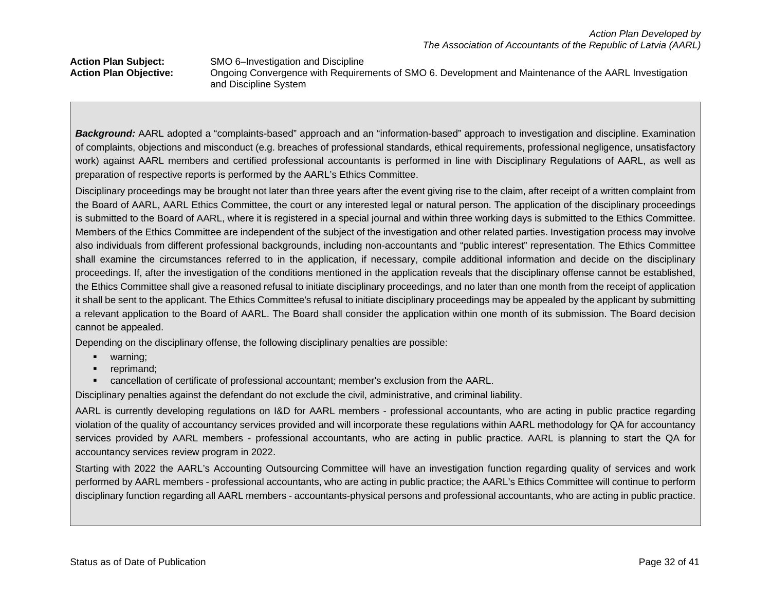### Action Plan Subject: SMO 6–Investigation and Discipline<br>Action Plan Objective: Ongoing Convergence with Require **Action Plan Objective:** Ongoing Convergence with Requirements of SMO 6. Development and Maintenance of the AARL Investigation and Discipline System

*Background:* AARL adopted a "complaints-based" approach and an "information-based" approach to investigation and discipline. Examination of complaints, objections and misconduct (e.g. breaches of professional standards, ethical requirements, professional negligence, unsatisfactory work) against AARL members and certified professional accountants is performed in line with Disciplinary Regulations of AARL, as well as preparation of respective reports is performed by the AARL's Ethics Committee.

Disciplinary proceedings may be brought not later than three years after the event giving rise to the claim, after receipt of a written complaint from the Board of AARL, AARL Ethics Committee, the court or any interested legal or natural person. The application of the disciplinary proceedings is submitted to the Board of AARL, where it is registered in a special journal and within three working days is submitted to the Ethics Committee. Members of the Ethics Committee are independent of the subject of the investigation and other related parties. Investigation process may involve also individuals from different professional backgrounds, including non-accountants and "public interest" representation. The Ethics Committee shall examine the circumstances referred to in the application, if necessary, compile additional information and decide on the disciplinary proceedings. If, after the investigation of the conditions mentioned in the application reveals that the disciplinary offense cannot be established, the Ethics Committee shall give a reasoned refusal to initiate disciplinary proceedings, and no later than one month from the receipt of application it shall be sent to the applicant. The Ethics Committee's refusal to initiate disciplinary proceedings may be appealed by the applicant by submitting a relevant application to the Board of AARL. The Board shall consider the application within one month of its submission. The Board decision cannot be appealed.

Depending on the disciplinary offense, the following disciplinary penalties are possible:

- **warning**;
- **•** reprimand;
- cancellation of certificate of professional accountant; member's exclusion from the AARL.

Disciplinary penalties against the defendant do not exclude the civil, administrative, and criminal liability.

AARL is currently developing regulations on I&D for AARL members - professional accountants, who are acting in public practice regarding violation of the quality of accountancy services provided and will incorporate these regulations within AARL methodology for QA for accountancy services provided by AARL members - professional accountants, who are acting in public practice. AARL is planning to start the QA for accountancy services review program in 2022.

Starting with 2022 the AARL's Accounting Outsourcing Committee will have an investigation function regarding quality of services and work performed by AARL members - professional accountants, who are acting in public practice; the AARL's Ethics Committee will continue to perform disciplinary function regarding all AARL members - accountants-physical persons and professional accountants, who are acting in public practice.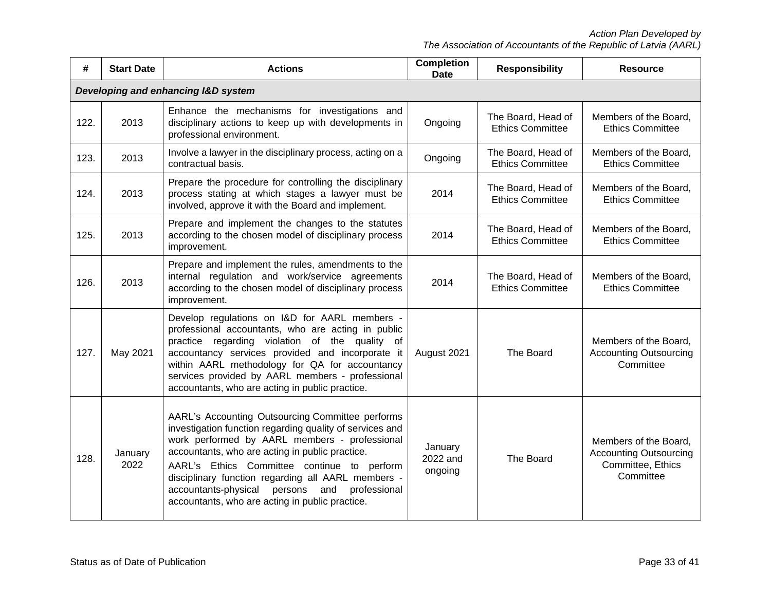*Action Plan Developed by*

*The Association of Accountants of the Republic of Latvia (AARL)*

| #    | <b>Start Date</b> | <b>Actions</b>                                                                                                                                                                                                                                                                                                                                                                                                               | <b>Completion</b><br><b>Date</b> | <b>Responsibility</b>                         | <b>Resource</b>                                                                          |
|------|-------------------|------------------------------------------------------------------------------------------------------------------------------------------------------------------------------------------------------------------------------------------------------------------------------------------------------------------------------------------------------------------------------------------------------------------------------|----------------------------------|-----------------------------------------------|------------------------------------------------------------------------------------------|
|      |                   | Developing and enhancing I&D system                                                                                                                                                                                                                                                                                                                                                                                          |                                  |                                               |                                                                                          |
| 122. | 2013              | Enhance the mechanisms for investigations and<br>disciplinary actions to keep up with developments in<br>professional environment.                                                                                                                                                                                                                                                                                           | Ongoing                          | The Board, Head of<br><b>Ethics Committee</b> | Members of the Board,<br><b>Ethics Committee</b>                                         |
| 123. | 2013              | Involve a lawyer in the disciplinary process, acting on a<br>contractual basis.                                                                                                                                                                                                                                                                                                                                              | Ongoing                          | The Board, Head of<br><b>Ethics Committee</b> | Members of the Board,<br><b>Ethics Committee</b>                                         |
| 124. | 2013              | Prepare the procedure for controlling the disciplinary<br>process stating at which stages a lawyer must be<br>involved, approve it with the Board and implement.                                                                                                                                                                                                                                                             | 2014                             | The Board, Head of<br><b>Ethics Committee</b> | Members of the Board,<br><b>Ethics Committee</b>                                         |
| 125. | 2013              | Prepare and implement the changes to the statutes<br>according to the chosen model of disciplinary process<br>improvement.                                                                                                                                                                                                                                                                                                   | 2014                             | The Board, Head of<br><b>Ethics Committee</b> | Members of the Board,<br><b>Ethics Committee</b>                                         |
| 126. | 2013              | Prepare and implement the rules, amendments to the<br>internal regulation and work/service agreements<br>according to the chosen model of disciplinary process<br>improvement.                                                                                                                                                                                                                                               | 2014                             | The Board, Head of<br><b>Ethics Committee</b> | Members of the Board,<br><b>Ethics Committee</b>                                         |
| 127. | May 2021          | Develop regulations on I&D for AARL members -<br>professional accountants, who are acting in public<br>practice regarding violation of the quality of<br>accountancy services provided and incorporate it<br>within AARL methodology for QA for accountancy<br>services provided by AARL members - professional<br>accountants, who are acting in public practice.                                                           | August 2021                      | The Board                                     | Members of the Board,<br><b>Accounting Outsourcing</b><br>Committee                      |
| 128. | January<br>2022   | AARL's Accounting Outsourcing Committee performs<br>investigation function regarding quality of services and<br>work performed by AARL members - professional<br>accountants, who are acting in public practice.<br>AARL's Ethics Committee continue to perform<br>disciplinary function regarding all AARL members -<br>accountants-physical persons and<br>professional<br>accountants, who are acting in public practice. | January<br>2022 and<br>ongoing   | The Board                                     | Members of the Board,<br><b>Accounting Outsourcing</b><br>Committee, Ethics<br>Committee |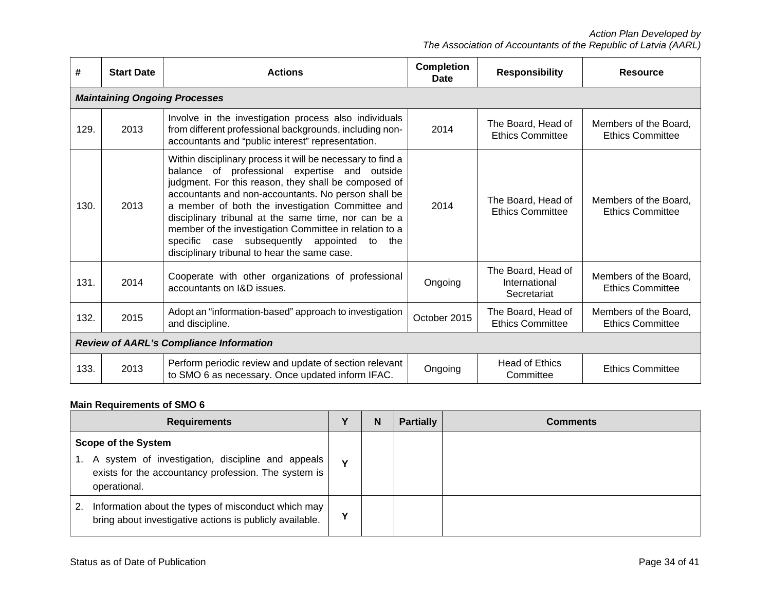| #    | <b>Start Date</b>                              | <b>Actions</b>                                                                                                                                                                                                                                                                                                                                                                                                                                                                                           | <b>Completion</b><br>Date | <b>Responsibility</b>                              | <b>Resource</b>                                  |  |  |  |  |  |
|------|------------------------------------------------|----------------------------------------------------------------------------------------------------------------------------------------------------------------------------------------------------------------------------------------------------------------------------------------------------------------------------------------------------------------------------------------------------------------------------------------------------------------------------------------------------------|---------------------------|----------------------------------------------------|--------------------------------------------------|--|--|--|--|--|
|      | <b>Maintaining Ongoing Processes</b>           |                                                                                                                                                                                                                                                                                                                                                                                                                                                                                                          |                           |                                                    |                                                  |  |  |  |  |  |
| 129. | 2013                                           | Involve in the investigation process also individuals<br>from different professional backgrounds, including non-<br>accountants and "public interest" representation.                                                                                                                                                                                                                                                                                                                                    | 2014                      | The Board, Head of<br><b>Ethics Committee</b>      | Members of the Board,<br><b>Ethics Committee</b> |  |  |  |  |  |
| 130. | 2013                                           | Within disciplinary process it will be necessary to find a<br>balance of professional expertise and outside<br>judgment. For this reason, they shall be composed of<br>accountants and non-accountants. No person shall be<br>a member of both the investigation Committee and<br>disciplinary tribunal at the same time, nor can be a<br>member of the investigation Committee in relation to a<br>case subsequently appointed<br>specific<br>to<br>the<br>disciplinary tribunal to hear the same case. | 2014                      | The Board, Head of<br><b>Ethics Committee</b>      | Members of the Board,<br><b>Ethics Committee</b> |  |  |  |  |  |
| 131. | 2014                                           | Cooperate with other organizations of professional<br>accountants on I&D issues.                                                                                                                                                                                                                                                                                                                                                                                                                         | Ongoing                   | The Board, Head of<br>International<br>Secretariat | Members of the Board,<br><b>Ethics Committee</b> |  |  |  |  |  |
| 132. | 2015                                           | Adopt an "information-based" approach to investigation<br>and discipline.                                                                                                                                                                                                                                                                                                                                                                                                                                | October 2015              | The Board, Head of<br><b>Ethics Committee</b>      | Members of the Board,<br><b>Ethics Committee</b> |  |  |  |  |  |
|      | <b>Review of AARL's Compliance Information</b> |                                                                                                                                                                                                                                                                                                                                                                                                                                                                                                          |                           |                                                    |                                                  |  |  |  |  |  |
| 133. | 2013                                           | Perform periodic review and update of section relevant<br>to SMO 6 as necessary. Once updated inform IFAC.                                                                                                                                                                                                                                                                                                                                                                                               | Ongoing                   | <b>Head of Ethics</b><br>Committee                 | <b>Ethics Committee</b>                          |  |  |  |  |  |

# **Main Requirements of SMO 6**

| <b>Requirements</b>                                                                                                                                     | $\mathbf v$ | N | <b>Partially</b> | <b>Comments</b> |
|---------------------------------------------------------------------------------------------------------------------------------------------------------|-------------|---|------------------|-----------------|
| <b>Scope of the System</b><br>A system of investigation, discipline and appeals<br>exists for the accountancy profession. The system is<br>operational. | $\mathbf v$ |   |                  |                 |
| Information about the types of misconduct which may<br>bring about investigative actions is publicly available.                                         | Υ           |   |                  |                 |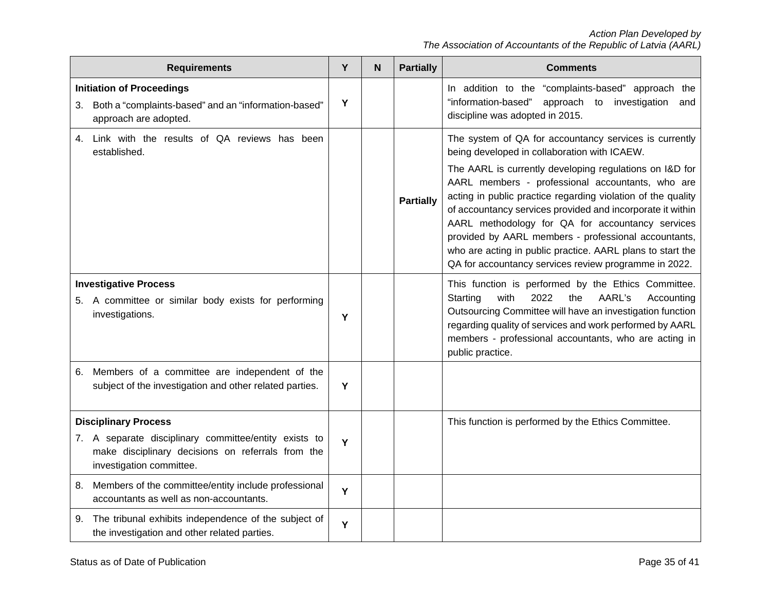| <b>Requirements</b>                                                                                                                                                   | Υ | N | <b>Partially</b> | <b>Comments</b>                                                                                                                                                                                                                                                                                                                                                                                                                                                                                                                                                                        |
|-----------------------------------------------------------------------------------------------------------------------------------------------------------------------|---|---|------------------|----------------------------------------------------------------------------------------------------------------------------------------------------------------------------------------------------------------------------------------------------------------------------------------------------------------------------------------------------------------------------------------------------------------------------------------------------------------------------------------------------------------------------------------------------------------------------------------|
| <b>Initiation of Proceedings</b><br>Both a "complaints-based" and an "information-based"<br>3.<br>approach are adopted.                                               | Y |   |                  | In addition to the "complaints-based" approach the<br>approach to investigation<br>"information-based"<br>and<br>discipline was adopted in 2015.                                                                                                                                                                                                                                                                                                                                                                                                                                       |
| Link with the results of QA reviews has been<br>4.<br>established.                                                                                                    |   |   | <b>Partially</b> | The system of QA for accountancy services is currently<br>being developed in collaboration with ICAEW.<br>The AARL is currently developing regulations on I&D for<br>AARL members - professional accountants, who are<br>acting in public practice regarding violation of the quality<br>of accountancy services provided and incorporate it within<br>AARL methodology for QA for accountancy services<br>provided by AARL members - professional accountants,<br>who are acting in public practice. AARL plans to start the<br>QA for accountancy services review programme in 2022. |
| <b>Investigative Process</b><br>5. A committee or similar body exists for performing<br>investigations.                                                               | Υ |   |                  | This function is performed by the Ethics Committee.<br>AARL's<br>Starting<br>with<br>2022<br>the<br>Accounting<br>Outsourcing Committee will have an investigation function<br>regarding quality of services and work performed by AARL<br>members - professional accountants, who are acting in<br>public practice.                                                                                                                                                                                                                                                                   |
| Members of a committee are independent of the<br>6.<br>subject of the investigation and other related parties.                                                        | Y |   |                  |                                                                                                                                                                                                                                                                                                                                                                                                                                                                                                                                                                                        |
| <b>Disciplinary Process</b><br>7. A separate disciplinary committee/entity exists to<br>make disciplinary decisions on referrals from the<br>investigation committee. | Y |   |                  | This function is performed by the Ethics Committee.                                                                                                                                                                                                                                                                                                                                                                                                                                                                                                                                    |
| Members of the committee/entity include professional<br>8.<br>accountants as well as non-accountants.                                                                 | Y |   |                  |                                                                                                                                                                                                                                                                                                                                                                                                                                                                                                                                                                                        |
| The tribunal exhibits independence of the subject of<br>9.<br>the investigation and other related parties.                                                            | Y |   |                  |                                                                                                                                                                                                                                                                                                                                                                                                                                                                                                                                                                                        |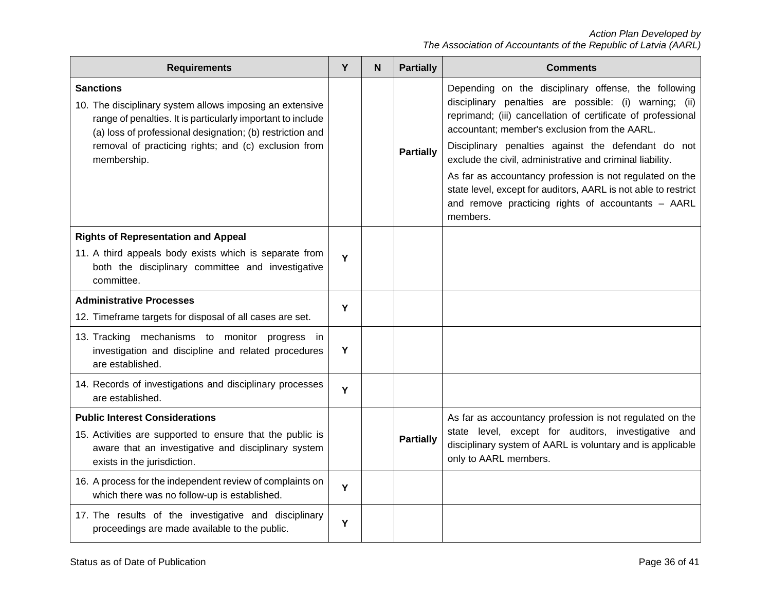| <b>Requirements</b>                                                                                                                                                                                                                                                             | Y | N | <b>Partially</b> | <b>Comments</b>                                                                                                                                                                                                                                                                                                                                                                                                                                                                                                                                     |
|---------------------------------------------------------------------------------------------------------------------------------------------------------------------------------------------------------------------------------------------------------------------------------|---|---|------------------|-----------------------------------------------------------------------------------------------------------------------------------------------------------------------------------------------------------------------------------------------------------------------------------------------------------------------------------------------------------------------------------------------------------------------------------------------------------------------------------------------------------------------------------------------------|
| <b>Sanctions</b><br>10. The disciplinary system allows imposing an extensive<br>range of penalties. It is particularly important to include<br>(a) loss of professional designation; (b) restriction and<br>removal of practicing rights; and (c) exclusion from<br>membership. |   |   | <b>Partially</b> | Depending on the disciplinary offense, the following<br>disciplinary penalties are possible: (i) warning; (ii)<br>reprimand; (iii) cancellation of certificate of professional<br>accountant; member's exclusion from the AARL.<br>Disciplinary penalties against the defendant do not<br>exclude the civil, administrative and criminal liability.<br>As far as accountancy profession is not regulated on the<br>state level, except for auditors, AARL is not able to restrict<br>and remove practicing rights of accountants - AARL<br>members. |
| <b>Rights of Representation and Appeal</b>                                                                                                                                                                                                                                      |   |   |                  |                                                                                                                                                                                                                                                                                                                                                                                                                                                                                                                                                     |
| 11. A third appeals body exists which is separate from<br>both the disciplinary committee and investigative<br>committee.                                                                                                                                                       | Y |   |                  |                                                                                                                                                                                                                                                                                                                                                                                                                                                                                                                                                     |
| <b>Administrative Processes</b>                                                                                                                                                                                                                                                 | Y |   |                  |                                                                                                                                                                                                                                                                                                                                                                                                                                                                                                                                                     |
| 12. Timeframe targets for disposal of all cases are set.                                                                                                                                                                                                                        |   |   |                  |                                                                                                                                                                                                                                                                                                                                                                                                                                                                                                                                                     |
| 13. Tracking mechanisms to monitor progress in<br>investigation and discipline and related procedures<br>are established.                                                                                                                                                       | Y |   |                  |                                                                                                                                                                                                                                                                                                                                                                                                                                                                                                                                                     |
| 14. Records of investigations and disciplinary processes<br>are established.                                                                                                                                                                                                    | Y |   |                  |                                                                                                                                                                                                                                                                                                                                                                                                                                                                                                                                                     |
| <b>Public Interest Considerations</b>                                                                                                                                                                                                                                           |   |   |                  | As far as accountancy profession is not regulated on the                                                                                                                                                                                                                                                                                                                                                                                                                                                                                            |
| 15. Activities are supported to ensure that the public is<br>aware that an investigative and disciplinary system<br>exists in the jurisdiction.                                                                                                                                 |   |   | <b>Partially</b> | state level, except for auditors, investigative and<br>disciplinary system of AARL is voluntary and is applicable<br>only to AARL members.                                                                                                                                                                                                                                                                                                                                                                                                          |
| 16. A process for the independent review of complaints on<br>which there was no follow-up is established.                                                                                                                                                                       | Y |   |                  |                                                                                                                                                                                                                                                                                                                                                                                                                                                                                                                                                     |
| 17. The results of the investigative and disciplinary<br>proceedings are made available to the public.                                                                                                                                                                          | Υ |   |                  |                                                                                                                                                                                                                                                                                                                                                                                                                                                                                                                                                     |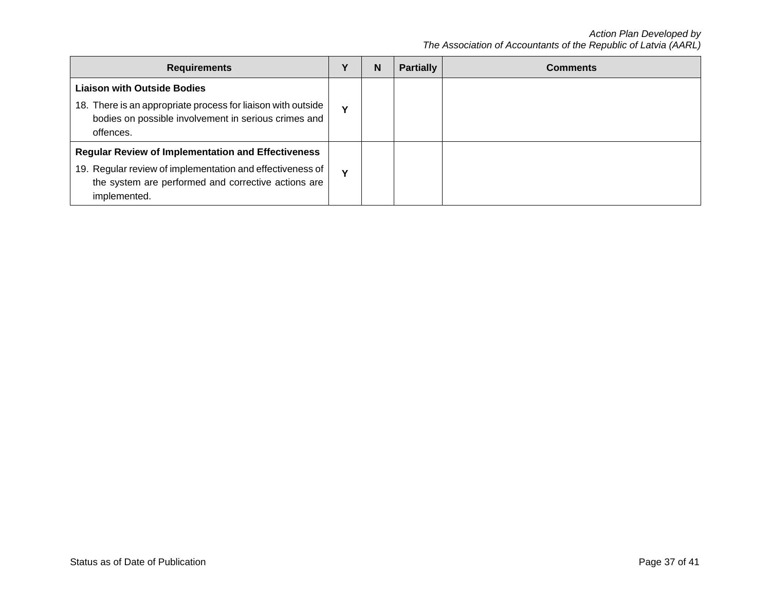| <b>Requirements</b>                                                                                                                                                                           |              | N | <b>Partially</b> | <b>Comments</b> |
|-----------------------------------------------------------------------------------------------------------------------------------------------------------------------------------------------|--------------|---|------------------|-----------------|
| <b>Liaison with Outside Bodies</b><br>18. There is an appropriate process for liaison with outside<br>bodies on possible involvement in serious crimes and<br>offences.                       | $\mathbf{v}$ |   |                  |                 |
| <b>Regular Review of Implementation and Effectiveness</b><br>19. Regular review of implementation and effectiveness of<br>the system are performed and corrective actions are<br>implemented. | $\mathbf{v}$ |   |                  |                 |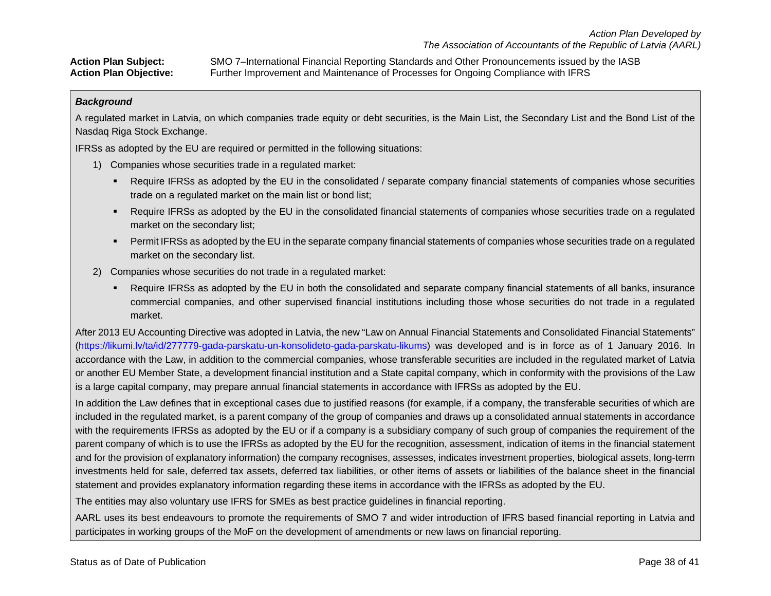**Action Plan Subject:** SMO 7–International Financial Reporting Standards and Other Pronouncements issued by the IASB **Action Plan Objective:** Further Improvement and Maintenance of Processes for Ongoing Compliance with IFRS

### *Background*

A regulated market in Latvia, on which companies trade equity or debt securities, is the Main List, the Secondary List and the Bond List of the Nasdaq Riga Stock Exchange.

IFRSs as adopted by the EU are required or permitted in the following situations:

- 1) Companies whose securities trade in a regulated market:
	- Require IFRSs as adopted by the EU in the consolidated / separate company financial statements of companies whose securities trade on a regulated market on the main list or bond list;
	- Require IFRSs as adopted by the EU in the consolidated financial statements of companies whose securities trade on a regulated market on the secondary list;
	- **Permit IFRSs as adopted by the EU in the separate company financial statements of companies whose securities trade on a regulated** market on the secondary list.
- 2) Companies whose securities do not trade in a regulated market:
	- Require IFRSs as adopted by the EU in both the consolidated and separate company financial statements of all banks, insurance commercial companies, and other supervised financial institutions including those whose securities do not trade in a regulated market.

After 2013 EU Accounting Directive was adopted in Latvia, the new "Law on Annual Financial Statements and Consolidated Financial Statements" [\(https://likumi.lv/ta/id/277779-gada-parskatu-un-konsolideto-gada-parskatu-likums\)](https://likumi.lv/ta/id/277779-gada-parskatu-un-konsolideto-gada-parskatu-likums) was developed and is in force as of 1 January 2016. In accordance with the Law, in addition to the commercial companies, whose transferable securities are included in the regulated market of Latvia or another EU Member State, a development financial institution and a State capital company, which in conformity with the provisions of the Law is a large capital company, may prepare annual financial statements in accordance with IFRSs as adopted by the EU.

In addition the Law defines that in exceptional cases due to justified reasons (for example, if a company, the transferable securities of which are included in the regulated market, is a parent company of the group of companies and draws up a consolidated annual statements in accordance with the requirements IFRSs as adopted by the EU or if a company is a subsidiary company of such group of companies the requirement of the parent company of which is to use the IFRSs as adopted by the EU for the recognition, assessment, indication of items in the financial statement and for the provision of explanatory information) the company recognises, assesses, indicates investment properties, biological assets, long-term investments held for sale, deferred tax assets, deferred tax liabilities, or other items of assets or liabilities of the balance sheet in the financial statement and provides explanatory information regarding these items in accordance with the IFRSs as adopted by the EU.

The entities may also voluntary use IFRS for SMEs as best practice guidelines in financial reporting.

AARL uses its best endeavours to promote the requirements of SMO 7 and wider introduction of IFRS based financial reporting in Latvia and participates in working groups of the MoF on the development of amendments or new laws on financial reporting.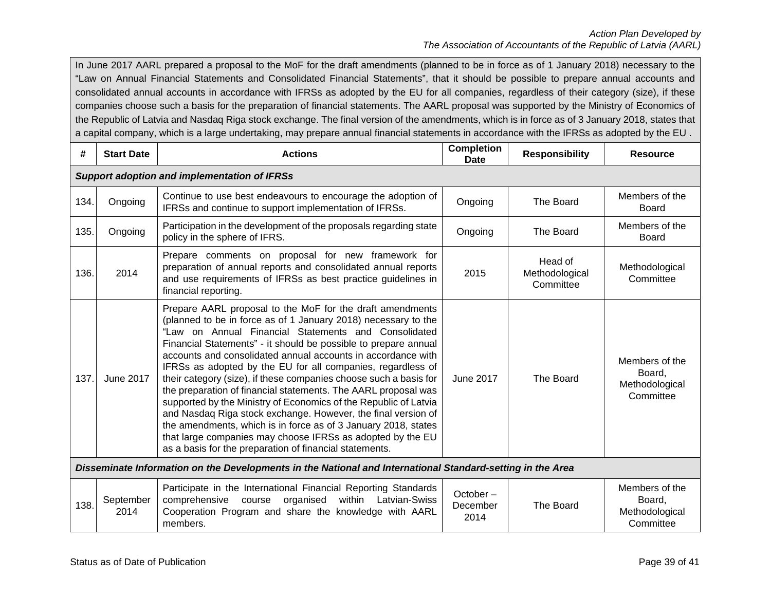In June 2017 AARL prepared a proposal to the MoF for the draft amendments (planned to be in force as of 1 January 2018) necessary to the "Law on Annual Financial Statements and Consolidated Financial Statements", that it should be possible to prepare annual accounts and consolidated annual accounts in accordance with IFRSs as adopted by the EU for all companies, regardless of their category (size), if these companies choose such a basis for the preparation of financial statements. The AARL proposal was supported by the Ministry of Economics of the Republic of Latvia and Nasdaq Riga stock exchange. The final version of the amendments, which is in force as of 3 January 2018, states that a capital company, which is a large undertaking, may prepare annual financial statements in accordance with the IFRSs as adopted by the EU .

| #    | <b>Start Date</b>                                                                                          | <b>Actions</b>                                                                                                                                                                                                                                                                                                                                                                                                                                                                                                                                                                                                                                                                                                                                                                                                                                               | <b>Completion</b><br><b>Date</b> | <b>Responsibility</b>                  | <b>Resource</b>                                         |  |  |  |  |  |
|------|------------------------------------------------------------------------------------------------------------|--------------------------------------------------------------------------------------------------------------------------------------------------------------------------------------------------------------------------------------------------------------------------------------------------------------------------------------------------------------------------------------------------------------------------------------------------------------------------------------------------------------------------------------------------------------------------------------------------------------------------------------------------------------------------------------------------------------------------------------------------------------------------------------------------------------------------------------------------------------|----------------------------------|----------------------------------------|---------------------------------------------------------|--|--|--|--|--|
|      | <b>Support adoption and implementation of IFRSs</b>                                                        |                                                                                                                                                                                                                                                                                                                                                                                                                                                                                                                                                                                                                                                                                                                                                                                                                                                              |                                  |                                        |                                                         |  |  |  |  |  |
| 134. | Ongoing                                                                                                    | Continue to use best endeavours to encourage the adoption of<br>IFRSs and continue to support implementation of IFRSs.                                                                                                                                                                                                                                                                                                                                                                                                                                                                                                                                                                                                                                                                                                                                       | Ongoing                          | The Board                              | Members of the<br>Board                                 |  |  |  |  |  |
| 135. | Ongoing                                                                                                    | Participation in the development of the proposals regarding state<br>policy in the sphere of IFRS.                                                                                                                                                                                                                                                                                                                                                                                                                                                                                                                                                                                                                                                                                                                                                           | Ongoing                          | The Board                              | Members of the<br><b>Board</b>                          |  |  |  |  |  |
| 136. | 2014                                                                                                       | Prepare comments on proposal for new framework for<br>preparation of annual reports and consolidated annual reports<br>and use requirements of IFRSs as best practice guidelines in<br>financial reporting.                                                                                                                                                                                                                                                                                                                                                                                                                                                                                                                                                                                                                                                  | 2015                             | Head of<br>Methodological<br>Committee | Methodological<br>Committee                             |  |  |  |  |  |
| 137. | June 2017                                                                                                  | Prepare AARL proposal to the MoF for the draft amendments<br>(planned to be in force as of 1 January 2018) necessary to the<br>"Law on Annual Financial Statements and Consolidated<br>Financial Statements" - it should be possible to prepare annual<br>accounts and consolidated annual accounts in accordance with<br>IFRSs as adopted by the EU for all companies, regardless of<br>their category (size), if these companies choose such a basis for<br>the preparation of financial statements. The AARL proposal was<br>supported by the Ministry of Economics of the Republic of Latvia<br>and Nasdaq Riga stock exchange. However, the final version of<br>the amendments, which is in force as of 3 January 2018, states<br>that large companies may choose IFRSs as adopted by the EU<br>as a basis for the preparation of financial statements. | <b>June 2017</b>                 | The Board                              | Members of the<br>Board,<br>Methodological<br>Committee |  |  |  |  |  |
|      | Disseminate Information on the Developments in the National and International Standard-setting in the Area |                                                                                                                                                                                                                                                                                                                                                                                                                                                                                                                                                                                                                                                                                                                                                                                                                                                              |                                  |                                        |                                                         |  |  |  |  |  |
| 138. | September<br>2014                                                                                          | Participate in the International Financial Reporting Standards<br>comprehensive<br>within Latvian-Swiss<br>organised<br>course<br>Cooperation Program and share the knowledge with AARL<br>members.                                                                                                                                                                                                                                                                                                                                                                                                                                                                                                                                                                                                                                                          | $October -$<br>December<br>2014  | The Board                              | Members of the<br>Board,<br>Methodological<br>Committee |  |  |  |  |  |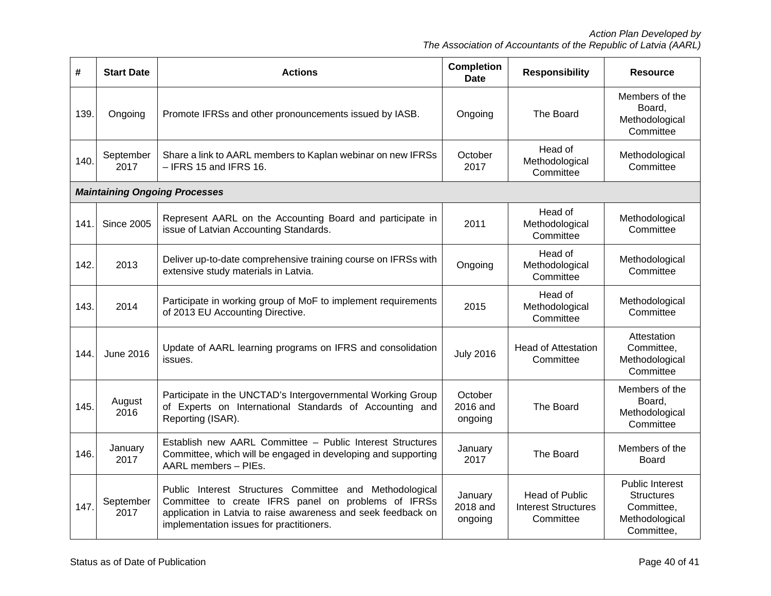| #                                    | <b>Start Date</b> | <b>Actions</b>                                                                                                                                                                                                              | <b>Completion</b><br><b>Date</b> | <b>Responsibility</b>                                            | <b>Resource</b>                                                                    |  |  |  |  |
|--------------------------------------|-------------------|-----------------------------------------------------------------------------------------------------------------------------------------------------------------------------------------------------------------------------|----------------------------------|------------------------------------------------------------------|------------------------------------------------------------------------------------|--|--|--|--|
| 139.                                 | Ongoing           | Promote IFRSs and other pronouncements issued by IASB.                                                                                                                                                                      | Ongoing                          | The Board                                                        | Members of the<br>Board,<br>Methodological<br>Committee                            |  |  |  |  |
| 140.                                 | September<br>2017 | Share a link to AARL members to Kaplan webinar on new IFRSs<br>$-$ IFRS 15 and IFRS 16.                                                                                                                                     | October<br>2017                  | Head of<br>Methodological<br>Committee                           | Methodological<br>Committee                                                        |  |  |  |  |
| <b>Maintaining Ongoing Processes</b> |                   |                                                                                                                                                                                                                             |                                  |                                                                  |                                                                                    |  |  |  |  |
| 141.                                 | <b>Since 2005</b> | Represent AARL on the Accounting Board and participate in<br>issue of Latvian Accounting Standards.                                                                                                                         | 2011                             | Head of<br>Methodological<br>Committee                           | Methodological<br>Committee                                                        |  |  |  |  |
| 142.                                 | 2013              | Deliver up-to-date comprehensive training course on IFRSs with<br>extensive study materials in Latvia.                                                                                                                      | Ongoing                          | Head of<br>Methodological<br>Committee                           | Methodological<br>Committee                                                        |  |  |  |  |
| 143.                                 | 2014              | Participate in working group of MoF to implement requirements<br>of 2013 EU Accounting Directive.                                                                                                                           | 2015                             | Head of<br>Methodological<br>Committee                           | Methodological<br>Committee                                                        |  |  |  |  |
| 144.                                 | <b>June 2016</b>  | Update of AARL learning programs on IFRS and consolidation<br>issues.                                                                                                                                                       | <b>July 2016</b>                 | <b>Head of Attestation</b><br>Committee                          | Attestation<br>Committee,<br>Methodological<br>Committee                           |  |  |  |  |
| 145.                                 | August<br>2016    | Participate in the UNCTAD's Intergovernmental Working Group<br>of Experts on International Standards of Accounting and<br>Reporting (ISAR).                                                                                 | October<br>2016 and<br>ongoing   | The Board                                                        | Members of the<br>Board,<br>Methodological<br>Committee                            |  |  |  |  |
| 146.                                 | January<br>2017   | Establish new AARL Committee - Public Interest Structures<br>Committee, which will be engaged in developing and supporting<br>AARL members - PIEs.                                                                          | January<br>2017                  | The Board                                                        | Members of the<br>Board                                                            |  |  |  |  |
| 147.                                 | September<br>2017 | Public Interest Structures Committee and Methodological<br>Committee to create IFRS panel on problems of IFRSs<br>application in Latvia to raise awareness and seek feedback on<br>implementation issues for practitioners. | January<br>2018 and<br>ongoing   | <b>Head of Public</b><br><b>Interest Structures</b><br>Committee | Public Interest<br><b>Structures</b><br>Committee,<br>Methodological<br>Committee, |  |  |  |  |